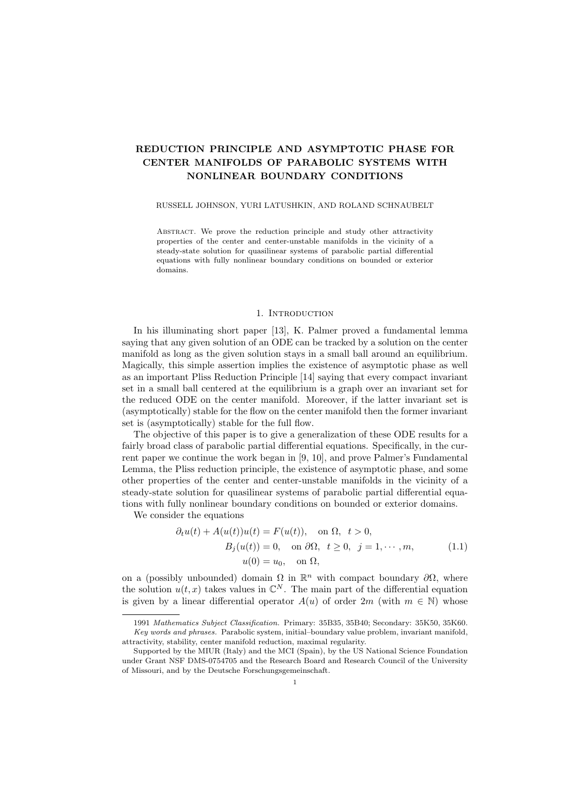# REDUCTION PRINCIPLE AND ASYMPTOTIC PHASE FOR CENTER MANIFOLDS OF PARABOLIC SYSTEMS WITH NONLINEAR BOUNDARY CONDITIONS

#### RUSSELL JOHNSON, YURI LATUSHKIN, AND ROLAND SCHNAUBELT

Abstract. We prove the reduction principle and study other attractivity properties of the center and center-unstable manifolds in the vicinity of a steady-state solution for quasilinear systems of parabolic partial differential equations with fully nonlinear boundary conditions on bounded or exterior domains.

#### 1. Introduction

In his illuminating short paper [13], K. Palmer proved a fundamental lemma saying that any given solution of an ODE can be tracked by a solution on the center manifold as long as the given solution stays in a small ball around an equilibrium. Magically, this simple assertion implies the existence of asymptotic phase as well as an important Pliss Reduction Principle [14] saying that every compact invariant set in a small ball centered at the equilibrium is a graph over an invariant set for the reduced ODE on the center manifold. Moreover, if the latter invariant set is (asymptotically) stable for the flow on the center manifold then the former invariant set is (asymptotically) stable for the full flow.

The objective of this paper is to give a generalization of these ODE results for a fairly broad class of parabolic partial differential equations. Specifically, in the current paper we continue the work began in [9, 10], and prove Palmer's Fundamental Lemma, the Pliss reduction principle, the existence of asymptotic phase, and some other properties of the center and center-unstable manifolds in the vicinity of a steady-state solution for quasilinear systems of parabolic partial differential equations with fully nonlinear boundary conditions on bounded or exterior domains.

We consider the equations

$$
\partial_t u(t) + A(u(t))u(t) = F(u(t)), \text{ on } \Omega, t > 0,
$$
  
\n
$$
B_j(u(t)) = 0, \text{ on } \partial\Omega, t \ge 0, j = 1, \dots, m,
$$
  
\n
$$
u(0) = u_0, \text{ on } \Omega,
$$
\n(1.1)

on a (possibly unbounded) domain  $\Omega$  in  $\mathbb{R}^n$  with compact boundary  $\partial\Omega$ , where the solution  $u(t, x)$  takes values in  $\mathbb{C}^N$ . The main part of the differential equation is given by a linear differential operator  $A(u)$  of order  $2m$  (with  $m \in \mathbb{N}$ ) whose

<sup>1991</sup> Mathematics Subject Classification. Primary: 35B35, 35B40; Secondary: 35K50, 35K60. Key words and phrases. Parabolic system, initial–boundary value problem, invariant manifold, attractivity, stability, center manifold reduction, maximal regularity.

Supported by the MIUR (Italy) and the MCI (Spain), by the US National Science Foundation under Grant NSF DMS-0754705 and the Research Board and Research Council of the University of Missouri, and by the Deutsche Forschungsgemeinschaft.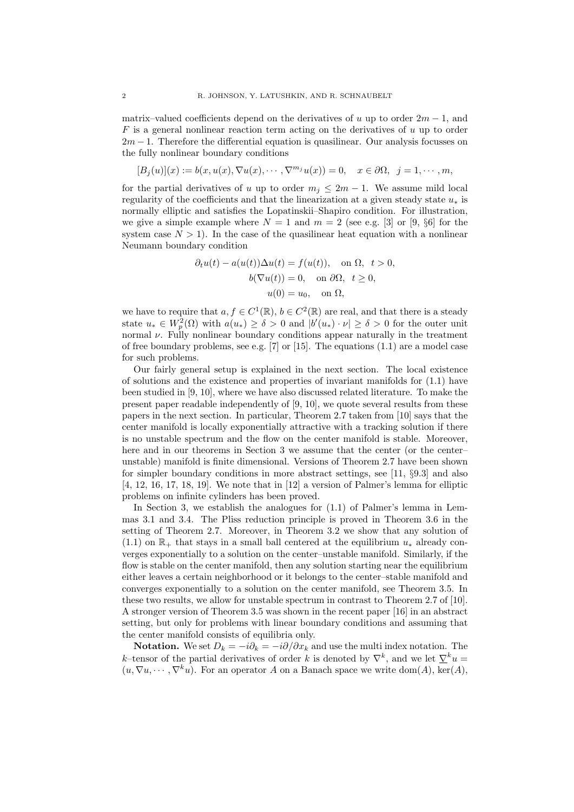matrix–valued coefficients depend on the derivatives of u up to order  $2m - 1$ , and  $F$  is a general nonlinear reaction term acting on the derivatives of u up to order  $2m - 1$ . Therefore the differential equation is quasilinear. Our analysis focusses on the fully nonlinear boundary conditions

$$
[B_j(u)](x) := b(x, u(x), \nabla u(x), \cdots, \nabla^{m_j} u(x)) = 0, \quad x \in \partial\Omega, \ \ j = 1, \cdots, m,
$$

for the partial derivatives of u up to order  $m_j \leq 2m - 1$ . We assume mild local regularity of the coefficients and that the linearization at a given steady state  $u_*$  is normally elliptic and satisfies the Lopatinskii–Shapiro condition. For illustration, we give a simple example where  $N = 1$  and  $m = 2$  (see e.g. [3] or [9, §6] for the system case  $N > 1$ ). In the case of the quasilinear heat equation with a nonlinear Neumann boundary condition

$$
\partial_t u(t) - a(u(t))\Delta u(t) = f(u(t)), \text{ on } \Omega, t > 0,
$$
  

$$
b(\nabla u(t)) = 0, \text{ on } \partial\Omega, t \ge 0,
$$
  

$$
u(0) = u_0, \text{ on } \Omega,
$$

we have to require that  $a, f \in C^1(\mathbb{R}), b \in C^2(\mathbb{R})$  are real, and that there is a steady state  $u_* \in W_p^2(\Omega)$  with  $a(u_*) \geq \delta > 0$  and  $|b'(u_*) \cdot \nu| \geq \delta > 0$  for the outer unit normal  $\nu$ . Fully nonlinear boundary conditions appear naturally in the treatment of free boundary problems, see e.g.  $[7]$  or  $[15]$ . The equations  $(1.1)$  are a model case for such problems.

Our fairly general setup is explained in the next section. The local existence of solutions and the existence and properties of invariant manifolds for (1.1) have been studied in [9, 10], where we have also discussed related literature. To make the present paper readable independently of [9, 10], we quote several results from these papers in the next section. In particular, Theorem 2.7 taken from [10] says that the center manifold is locally exponentially attractive with a tracking solution if there is no unstable spectrum and the flow on the center manifold is stable. Moreover, here and in our theorems in Section 3 we assume that the center (or the center– unstable) manifold is finite dimensional. Versions of Theorem 2.7 have been shown for simpler boundary conditions in more abstract settings, see [11, §9.3] and also [4, 12, 16, 17, 18, 19]. We note that in [12] a version of Palmer's lemma for elliptic problems on infinite cylinders has been proved.

In Section 3, we establish the analogues for (1.1) of Palmer's lemma in Lemmas 3.1 and 3.4. The Pliss reduction principle is proved in Theorem 3.6 in the setting of Theorem 2.7. Moreover, in Theorem 3.2 we show that any solution of (1.1) on  $\mathbb{R}_+$  that stays in a small ball centered at the equilibrium  $u_*$  already converges exponentially to a solution on the center–unstable manifold. Similarly, if the flow is stable on the center manifold, then any solution starting near the equilibrium either leaves a certain neighborhood or it belongs to the center–stable manifold and converges exponentially to a solution on the center manifold, see Theorem 3.5. In these two results, we allow for unstable spectrum in contrast to Theorem 2.7 of [10]. A stronger version of Theorem 3.5 was shown in the recent paper [16] in an abstract setting, but only for problems with linear boundary conditions and assuming that the center manifold consists of equilibria only.

**Notation.** We set  $D_k = -i\partial_k = -i\partial/\partial x_k$  and use the multi index notation. The k–tensor of the partial derivatives of order k is denoted by  $\nabla^k$ , and we let  $\nabla^k u =$  $(u, \nabla u, \dots, \nabla^k u)$ . For an operator A on a Banach space we write dom(A), ker(A),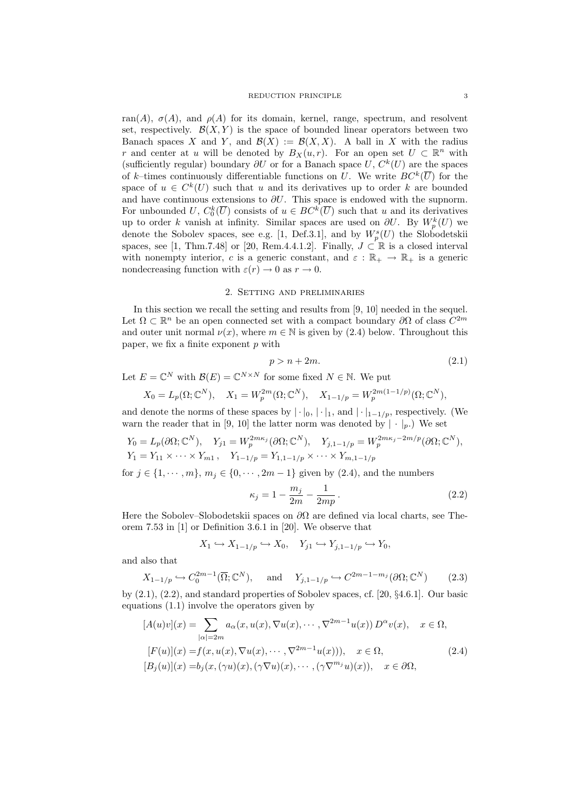ran(A),  $\sigma(A)$ , and  $\rho(A)$  for its domain, kernel, range, spectrum, and resolvent set, respectively.  $\mathcal{B}(X, Y)$  is the space of bounded linear operators between two Banach spaces X and Y, and  $\mathcal{B}(X) := \mathcal{B}(X,X)$ . A ball in X with the radius r and center at u will be denoted by  $B_X(u,r)$ . For an open set  $U \subset \mathbb{R}^n$  with (sufficiently regular) boundary  $\partial U$  or for a Banach space U,  $C^{k}(U)$  are the spaces of k-times continuously differentiable functions on U. We write  $BC^k(\overline{U})$  for the space of  $u \in C^k(U)$  such that u and its derivatives up to order k are bounded and have continuous extensions to  $\partial U$ . This space is endowed with the supnorm. For unbounded U,  $C_0^k(\overline{U})$  consists of  $u \in BC^k(\overline{U})$  such that u and its derivatives up to order k vanish at infinity. Similar spaces are used on  $\partial U$ . By  $W_p^k(U)$  we denote the Sobolev spaces, see e.g. [1, Def.3.1], and by  $W_p^s(U)$  the Slobodetskii spaces, see [1, Thm.7.48] or [20, Rem.4.4.1.2]. Finally,  $J \subset \mathbb{R}$  is a closed interval with nonempty interior, c is a generic constant, and  $\varepsilon : \mathbb{R}_+ \to \mathbb{R}_+$  is a generic nondecreasing function with  $\varepsilon(r) \to 0$  as  $r \to 0$ .

## 2. Setting and preliminaries

In this section we recall the setting and results from [9, 10] needed in the sequel. Let  $\Omega \subset \mathbb{R}^n$  be an open connected set with a compact boundary  $\partial\Omega$  of class  $C^{2m}$ and outer unit normal  $\nu(x)$ , where  $m \in \mathbb{N}$  is given by (2.4) below. Throughout this paper, we fix a finite exponent  $p$  with

$$
p > n + 2m. \tag{2.1}
$$

Let  $E = \mathbb{C}^N$  with  $\mathcal{B}(E) = \mathbb{C}^{N \times N}$  for some fixed  $N \in \mathbb{N}$ . We put

$$
X_0 = L_p(\Omega; \mathbb{C}^N), \quad X_1 = W_p^{2m}(\Omega; \mathbb{C}^N), \quad X_{1-1/p} = W_p^{2m(1-1/p)}(\Omega; \mathbb{C}^N),
$$

and denote the norms of these spaces by  $|\cdot|_0, |\cdot|_1$ , and  $|\cdot|_{1-1/p}$ , respectively. (We warn the reader that in [9, 10] the latter norm was denoted by  $|\cdot|_p$ . We set

$$
Y_0 = L_p(\partial \Omega; \mathbb{C}^N), \quad Y_{j1} = W_p^{2m\kappa_j}(\partial \Omega; \mathbb{C}^N), \quad Y_{j,1-1/p} = W_p^{2m\kappa_j - 2m/p}(\partial \Omega; \mathbb{C}^N), Y_1 = Y_{11} \times \cdots \times Y_{m1}, \quad Y_{1-1/p} = Y_{1,1-1/p} \times \cdots \times Y_{m,1-1/p}
$$

for  $j \in \{1, \dots, m\}$ ,  $m_j \in \{0, \dots, 2m-1\}$  given by  $(2.4)$ , and the numbers

$$
\kappa_j = 1 - \frac{m_j}{2m} - \frac{1}{2mp} \,. \tag{2.2}
$$

Here the Sobolev–Slobodetskii spaces on  $\partial\Omega$  are defined via local charts, see Theorem 7.53 in [1] or Definition 3.6.1 in [20]. We observe that

$$
X_1 \hookrightarrow X_{1-1/p} \hookrightarrow X_0, \quad Y_{j1} \hookrightarrow Y_{j,1-1/p} \hookrightarrow Y_0,
$$

and also that

$$
X_{1-1/p} \hookrightarrow C_0^{2m-1}(\overline{\Omega}; \mathbb{C}^N), \quad \text{and} \quad Y_{j,1-1/p} \hookrightarrow C^{2m-1-m_j}(\partial \Omega; \mathbb{C}^N) \tag{2.3}
$$

by (2.1), (2.2), and standard properties of Sobolev spaces, cf. [20, §4.6.1]. Our basic equations (1.1) involve the operators given by

$$
[A(u)v](x) = \sum_{|\alpha|=2m} a_{\alpha}(x, u(x), \nabla u(x), \cdots, \nabla^{2m-1} u(x)) D^{\alpha} v(x), \quad x \in \Omega,
$$
  
\n
$$
[F(u)](x) = f(x, u(x), \nabla u(x), \cdots, \nabla^{2m-1} u(x))), \quad x \in \Omega,
$$
  
\n
$$
[B_j(u)](x) = b_j(x, (\gamma u)(x), (\gamma \nabla u)(x), \cdots, (\gamma \nabla^{m_j} u)(x)), \quad x \in \partial\Omega,
$$
\n(2.4)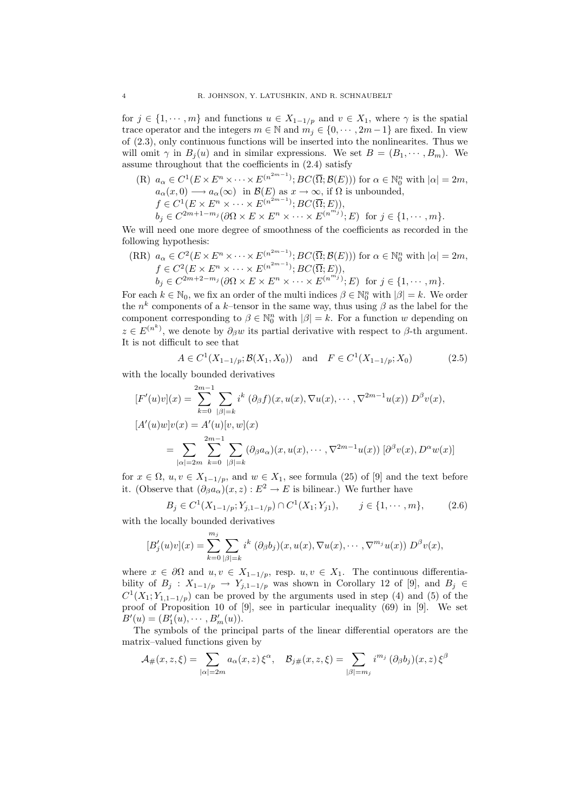for  $j \in \{1, \dots, m\}$  and functions  $u \in X_{1-1/p}$  and  $v \in X_1$ , where  $\gamma$  is the spatial trace operator and the integers  $m \in \mathbb{N}$  and  $m_j \in \{0, \dots, 2m-1\}$  are fixed. In view of (2.3), only continuous functions will be inserted into the nonlinearites. Thus we will omit  $\gamma$  in  $B_i(u)$  and in similar expressions. We set  $B = (B_1, \dots, B_m)$ . We assume throughout that the coefficients in (2.4) satisfy

(R) 
$$
a_{\alpha} \in C^1(E \times E^n \times \cdots \times E^{(n^{2m-1})}; BC(\overline{\Omega}; \mathcal{B}(E)))
$$
 for  $\alpha \in \mathbb{N}_0^n$  with  $|\alpha| = 2m$ ,  
\n $a_{\alpha}(x,0) \longrightarrow a_{\alpha}(\infty)$  in  $\mathcal{B}(E)$  as  $x \to \infty$ , if  $\Omega$  is unbounded,  
\n $f \in C^1(E \times E^n \times \cdots \times E^{(n^{2m-1})}; BC(\overline{\Omega}; E)),$   
\n $b_j \in C^{2m+1-m_j}(\partial \Omega \times E \times E^n \times \cdots \times E^{(n^{m_j})}; E)$  for  $j \in \{1, \cdots, m\}.$ 

We will need one more degree of smoothness of the coefficients as recorded in the following hypothesis:

(RR) 
$$
a_{\alpha} \in C^2(E \times E^n \times \cdots \times E^{(n^{2m-1})}; BC(\overline{\Omega}; \mathcal{B}(E)))
$$
 for  $\alpha \in \mathbb{N}_0^n$  with  $|\alpha| = 2m$ ,  
\n $f \in C^2(E \times E^n \times \cdots \times E^{(n^{2m-1})}; BC(\overline{\Omega}; E)),$   
\n $b_j \in C^{2m+2-m_j}(\partial \Omega \times E \times E^n \times \cdots \times E^{(n^{m_j})}; E)$  for  $j \in \{1, \cdots, m\}.$ 

For each  $k \in \mathbb{N}_0$ , we fix an order of the multi indices  $\beta \in \mathbb{N}_0^n$  with  $|\beta| = k$ . We order the  $n^k$  components of a k-tensor in the same way, thus using  $\beta$  as the label for the component corresponding to  $\beta \in \mathbb{N}_0^n$  with  $|\beta|=k$ . For a function w depending on  $z \in E^{(n^k)}$ , we denote by  $\partial_\beta w$  its partial derivative with respect to  $\beta$ -th argument. It is not difficult to see that

$$
A \in C^1(X_{1-1/p}; \mathcal{B}(X_1, X_0)) \quad \text{and} \quad F \in C^1(X_{1-1/p}; X_0) \tag{2.5}
$$

with the locally bounded derivatives

$$
[F'(u)v](x) = \sum_{k=0}^{2m-1} \sum_{|\beta|=k} i^k (\partial_{\beta} f)(x, u(x), \nabla u(x), \cdots, \nabla^{2m-1} u(x)) D^{\beta} v(x),
$$
  
\n
$$
[A'(u)w]v(x) = A'(u)[v, w](x)
$$
  
\n
$$
= \sum_{|\alpha|=2m} \sum_{k=0}^{2m-1} \sum_{|\beta|=k} (\partial_{\beta} a_{\alpha})(x, u(x), \cdots, \nabla^{2m-1} u(x)) [\partial^{\beta} v(x), D^{\alpha} w(x)]
$$

for  $x \in \Omega$ ,  $u, v \in X_{1-1/p}$ , and  $w \in X_1$ , see formula (25) of [9] and the text before it. (Observe that  $(\partial_{\beta}a_{\alpha})(x, z): E^2 \to E$  is bilinear.) We further have

$$
B_j \in C^1(X_{1-1/p}; Y_{j,1-1/p}) \cap C^1(X_1; Y_{j1}), \qquad j \in \{1, \cdots, m\},
$$
 (2.6)

with the locally bounded derivatives

$$
[B'_{j}(u)v](x) = \sum_{k=0}^{m_j} \sum_{|\beta|=k} i^{k} (\partial_{\beta}b_{j})(x, u(x), \nabla u(x), \cdots, \nabla^{m_j}u(x)) D^{\beta}v(x),
$$

where  $x \in \partial\Omega$  and  $u, v \in X_{1-1/p}$ , resp.  $u, v \in X_1$ . The continuous differentiability of  $B_j$  :  $X_{1-1/p}$  →  $Y_{j,1-1/p}$  was shown in Corollary 12 of [9], and  $B_j \in$  $C^1(X_1; Y_{1,1-1/p})$  can be proved by the arguments used in step (4) and (5) of the proof of Proposition 10 of [9], see in particular inequality (69) in [9]. We set  $B'(u) = (B'_1(u), \cdots, B'_m(u)).$ 

The symbols of the principal parts of the linear differential operators are the matrix–valued functions given by

$$
\mathcal{A}_{\#}(x,z,\xi) = \sum_{|\alpha|=2m} a_{\alpha}(x,z) \xi^{\alpha}, \quad \mathcal{B}_{j\#}(x,z,\xi) = \sum_{|\beta|=m_j} i^{m_j} (\partial_{\beta} b_j)(x,z) \xi^{\beta}
$$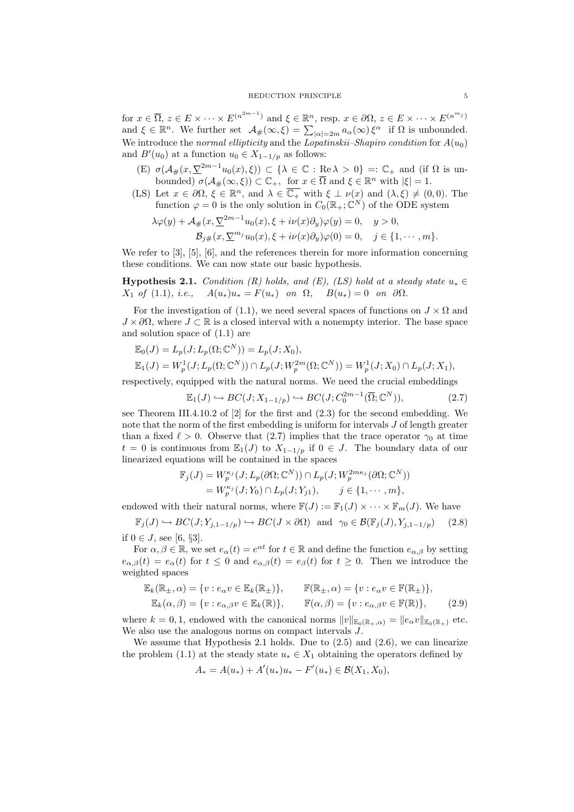for  $x \in \overline{\Omega}$ ,  $z \in E \times \cdots \times E^{(n^{2m-1})}$  and  $\xi \in \mathbb{R}^n$ , resp.  $x \in \partial\Omega$ ,  $z \in E \times \cdots \times E^{(n^{m_j})}$ and  $\xi \in \mathbb{R}^n$ . We further set  $\mathcal{A}_{\#}(\infty, \xi) = \sum_{|\alpha|=2m} a_{\alpha}(\infty) \xi^{\alpha}$  if  $\Omega$  is unbounded. We introduce the normal ellipticity and the Lopatinskii–Shapiro condition for  $A(u_0)$ and  $B'(u_0)$  at a function  $u_0 \in X_{1-1/p}$  as follows:

- (E)  $\sigma(A_{\#}(x, \underline{\nabla}^{2m-1}u_0(x), \xi)) \subset {\{\lambda \in \mathbb{C} : \text{Re } \lambda > 0\}} =: \mathbb{C}_+$  and (if  $\Omega$  is unbounded)  $\sigma(\mathcal{A}_{\#}(\infty,\xi)) \subset \mathbb{C}_+$ , for  $x \in \overline{\Omega}$  and  $\xi \in \mathbb{R}^n$  with  $|\xi| = 1$ .
- (LS) Let  $x \in \partial\Omega$ ,  $\xi \in \mathbb{R}^n$ , and  $\lambda \in \overline{\mathbb{C}_+}$  with  $\xi \perp \nu(x)$  and  $(\lambda, \xi) \neq (0, 0)$ . The function  $\varphi = 0$  is the only solution in  $C_0(\mathbb{R}_+;\mathbb{C}^N)$  of the ODE system

$$
\lambda \varphi(y) + \mathcal{A}_{\#}(x, \underline{\nabla}^{2m-1} u_0(x), \xi + i\nu(x) \partial_y) \varphi(y) = 0, \quad y > 0,
$$
  

$$
\mathcal{B}_{j\#}(x, \underline{\nabla}^{m_j} u_0(x), \xi + i\nu(x) \partial_y) \varphi(0) = 0, \quad j \in \{1, \cdots, m\}.
$$

We refer to [3], [5], [6], and the references therein for more information concerning these conditions. We can now state our basic hypothesis.

**Hypothesis 2.1.** Condition (R) holds, and (E), (LS) hold at a steady state  $u_* \in$  $X_1$  of (1.1), i.e.,  $A(u_*)u_* = F(u_*)$  on  $\Omega$ ,  $B(u_*) = 0$  on  $\partial\Omega$ .

For the investigation of (1.1), we need several spaces of functions on  $J \times \Omega$  and  $J \times \partial\Omega$ , where  $J \subset \mathbb{R}$  is a closed interval with a nonempty interior. The base space and solution space of (1.1) are

$$
\mathbb{E}_0(J) = L_p(J; L_p(\Omega; \mathbb{C}^N)) = L_p(J; X_0), \n\mathbb{E}_1(J) = W_p^1(J; L_p(\Omega; \mathbb{C}^N)) \cap L_p(J; W_p^{2m}(\Omega; \mathbb{C}^N)) = W_p^1(J; X_0) \cap L_p(J; X_1),
$$

respectively, equipped with the natural norms. We need the crucial embeddings

$$
\mathbb{E}_1(J) \hookrightarrow BC(J; X_{1-1/p}) \hookrightarrow BC(J; C_0^{2m-1}(\overline{\Omega}; \mathbb{C}^N)),\tag{2.7}
$$

see Theorem III.4.10.2 of [2] for the first and (2.3) for the second embedding. We note that the norm of the first embedding is uniform for intervals J of length greater than a fixed  $\ell > 0$ . Observe that (2.7) implies that the trace operator  $\gamma_0$  at time  $t = 0$  is continuous from  $\mathbb{E}_1(J)$  to  $X_{1-1/p}$  if  $0 \in J$ . The boundary data of our linearized equations will be contained in the spaces

$$
\mathbb{F}_j(J) = W_p^{\kappa_j}(J; L_p(\partial \Omega; \mathbb{C}^N)) \cap L_p(J; W_p^{2m\kappa_j}(\partial \Omega; \mathbb{C}^N))
$$
  
=  $W_p^{\kappa_j}(J; Y_0) \cap L_p(J; Y_{j1}), \qquad j \in \{1, \cdots, m\},$ 

endowed with their natural norms, where  $\mathbb{F}(J) := \mathbb{F}_1(J) \times \cdots \times \mathbb{F}_m(J)$ . We have

 $\mathbb{F}_j(J) \hookrightarrow BC(J; Y_{j,1-1/p}) \hookrightarrow BC(J \times \partial \Omega)$  and  $\gamma_0 \in \mathcal{B}(\mathbb{F}_j(J), Y_{j,1-1/p})$  (2.8) if 0 ∈ *J*, see [6, §3].

For  $\alpha, \beta \in \mathbb{R}$ , we set  $e_\alpha(t) = e^{\alpha t}$  for  $t \in \mathbb{R}$  and define the function  $e_{\alpha,\beta}$  by setting  $e_{\alpha,\beta}(t) = e_{\alpha}(t)$  for  $t \leq 0$  and  $e_{\alpha,\beta}(t) = e_{\beta}(t)$  for  $t \geq 0$ . Then we introduce the weighted spaces

$$
\mathbb{E}_{k}(\mathbb{R}_{\pm},\alpha) = \{v : e_{\alpha}v \in \mathbb{E}_{k}(\mathbb{R}_{\pm})\}, \qquad \mathbb{F}(\mathbb{R}_{\pm},\alpha) = \{v : e_{\alpha}v \in \mathbb{F}(\mathbb{R}_{\pm})\}, \mathbb{E}_{k}(\alpha,\beta) = \{v : e_{\alpha,\beta}v \in \mathbb{E}_{k}(\mathbb{R})\}, \qquad \mathbb{F}(\alpha,\beta) = \{v : e_{\alpha,\beta}v \in \mathbb{F}(\mathbb{R})\},
$$
\n(2.9)

where  $k = 0, 1$ , endowed with the canonical norms  $||v||_{\mathbb{E}_{0}(\mathbb{R}_{+}, \alpha)} = ||e_{\alpha}v||_{\mathbb{E}_{0}(\mathbb{R}_{+})}$  etc. We also use the analogous norms on compact intervals J.

We assume that Hypothesis 2.1 holds. Due to  $(2.5)$  and  $(2.6)$ , we can linearize the problem (1.1) at the steady state  $u_* \in X_1$  obtaining the operators defined by

$$
A_* = A(u_*) + A'(u_*)u_* - F'(u_*) \in \mathcal{B}(X_1, X_0),
$$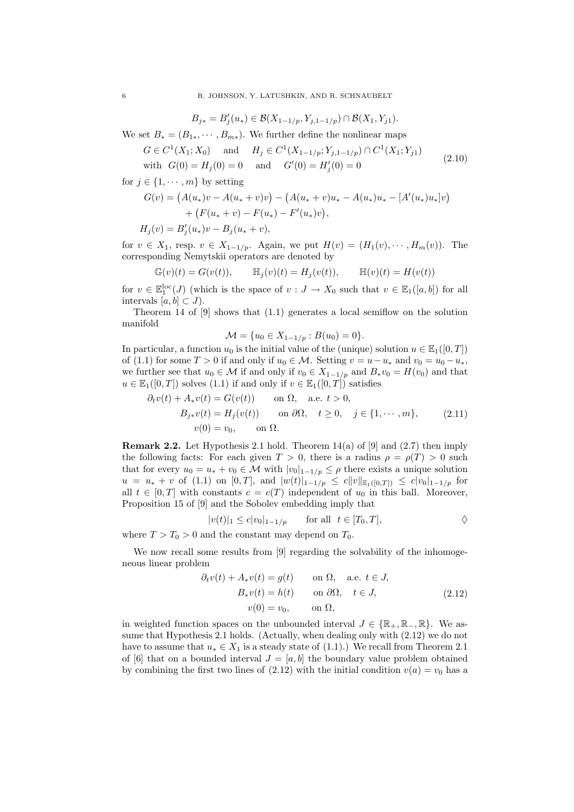$$
B_{j*} = B'_{j}(u_{*}) \in \mathcal{B}(X_{1-1/p}, Y_{j,1-1/p}) \cap \mathcal{B}(X_{1}, Y_{j1}).
$$

We set  $B_* = (B_{1*}, \cdots, B_{m*})$ . We further define the nonlinear maps

$$
G \in C^{1}(X_{1}; X_{0}) \text{ and } H_{j} \in C^{1}(X_{1-1/p}; Y_{j,1-1/p}) \cap C^{1}(X_{1}; Y_{j1})
$$
  
with  $G(0) = H_{j}(0) = 0$  and  $G'(0) = H'_{j}(0) = 0$  (2.10)

for  $j \in \{1, \dots, m\}$  by setting

$$
G(v) = (A(u_*)v - A(u_* + v)v) - (A(u_* + v)u_* - A(u_*)u_* - [A'(u_*)u_*]v)
$$
  
+ 
$$
(F(u_* + v) - F(u_*) - F'(u_*)v),
$$
  

$$
H_j(v) = B'_j(u_*)v - B_j(u_* + v),
$$

for  $v \in X_1$ , resp.  $v \in X_{1-1/p}$ . Again, we put  $H(v) = (H_1(v), \cdots, H_m(v))$ . The corresponding Nemytskii operators are denoted by

$$
\mathbb{G}(v)(t) = G(v(t)), \qquad \mathbb{H}_j(v)(t) = H_j(v(t)), \qquad \mathbb{H}(v)(t) = H(v(t))
$$

for  $v \in \mathbb{E}_1^{\text{loc}}(J)$  (which is the space of  $v : J \to X_0$  such that  $v \in \mathbb{E}_1([a, b])$  for all intervals  $[a, b] \subset J$ ).

Theorem 14 of [9] shows that (1.1) generates a local semiflow on the solution manifold

$$
\mathcal{M} = \{u_0 \in X_{1-1/p} : B(u_0) = 0\}.
$$

In particular, a function  $u_0$  is the initial value of the (unique) solution  $u \in \mathbb{E}_1([0,T])$ of (1.1) for some  $T > 0$  if and only if  $u_0 \in \mathcal{M}$ . Setting  $v = u - u_*$  and  $v_0 = u_0 - u_*$ , we further see that  $u_0 \in \mathcal{M}$  if and only if  $v_0 \in X_{1-1/p}$  and  $B_*v_0 = H(v_0)$  and that  $u \in \mathbb{E}_1([0,T])$  solves  $(1.1)$  if and only if  $v \in \mathbb{E}_1([0,T])$  satisfies

$$
\partial_t v(t) + A_* v(t) = G(v(t)) \quad \text{on } \Omega, \quad \text{a.e. } t > 0,
$$
  
\n
$$
B_{j*} v(t) = H_j(v(t)) \quad \text{on } \partial\Omega, \quad t \ge 0, \quad j \in \{1, \dots, m\}, \quad (2.11)
$$
  
\n
$$
v(0) = v_0, \quad \text{on } \Omega.
$$

**Remark 2.2.** Let Hypothesis 2.1 hold. Theorem  $14(a)$  of [9] and (2.7) then imply the following facts: For each given  $T > 0$ , there is a radius  $\rho = \rho(T) > 0$  such that for every  $u_0 = u_* + v_0 \in \mathcal{M}$  with  $|v_0|_{1-1/p} \leq \rho$  there exists a unique solution  $u = u_* + v$  of (1.1) on [0, T], and  $|w(t)|_{1-1/p} \leq c||v||_{\mathbb{E}_1([0,T])} \leq c|v_0|_{1-1/p}$  for all  $t \in [0, T]$  with constants  $c = c(T)$  independent of  $u_0$  in this ball. Moreover, Proposition 15 of [9] and the Sobolev embedding imply that

$$
|v(t)|_1 \le c|v_0|_{1-1/p} \qquad \text{for all} \ \ t \in [T_0, T],
$$

where  $T > T_0 > 0$  and the constant may depend on  $T_0$ .

We now recall some results from [9] regarding the solvability of the inhomogeneous linear problem

$$
\partial_t v(t) + A_* v(t) = g(t) \quad \text{on } \Omega, \quad \text{a.e. } t \in J,
$$
  
\n
$$
B_* v(t) = h(t) \quad \text{on } \partial\Omega, \quad t \in J,
$$
  
\n
$$
v(0) = v_0, \quad \text{on } \Omega,
$$
  
\n(2.12)

in weighted function spaces on the unbounded interval  $J \in \{ \mathbb{R}_+, \mathbb{R}_-, \mathbb{R} \}$ . We assume that Hypothesis 2.1 holds. (Actually, when dealing only with (2.12) we do not have to assume that  $u_* \in X_1$  is a steady state of (1.1).) We recall from Theorem 2.1 of [6] that on a bounded interval  $J = [a, b]$  the boundary value problem obtained by combining the first two lines of (2.12) with the initial condition  $v(a) = v_0$  has a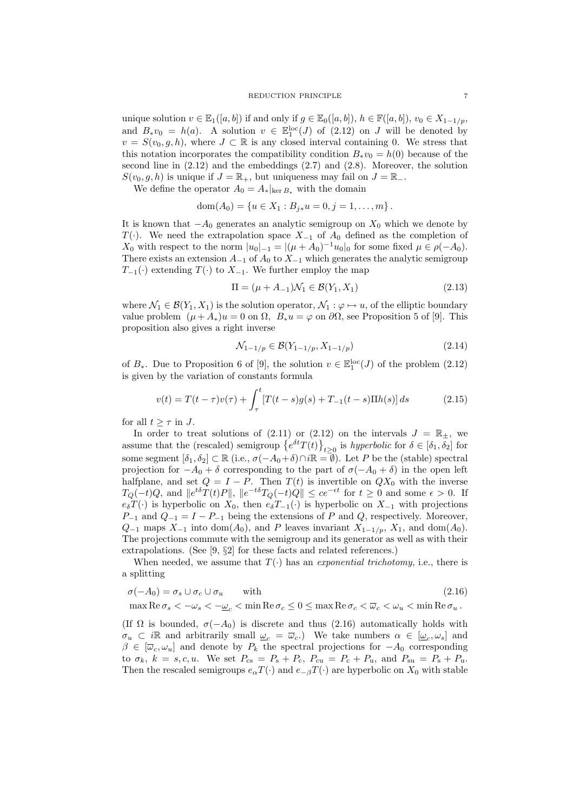## REDUCTION PRINCIPLE 7

unique solution  $v \in \mathbb{E}_1([a, b])$  if and only if  $g \in \mathbb{E}_0([a, b]), h \in \mathbb{F}([a, b]), v_0 \in X_{1-1/p}$ , and  $B_*v_0 = h(a)$ . A solution  $v \in \mathbb{E}^{\text{loc}}_1(J)$  of (2.12) on J will be denoted by  $v = S(v_0, g, h)$ , where  $J \subset \mathbb{R}$  is any closed interval containing 0. We stress that this notation incorporates the compatibility condition  $B_*v_0 = h(0)$  because of the second line in  $(2.12)$  and the embeddings  $(2.7)$  and  $(2.8)$ . Moreover, the solution  $S(v_0, q, h)$  is unique if  $J = \mathbb{R}_+$ , but uniqueness may fail on  $J = \mathbb{R}_-$ .

We define the operator  $A_0 = A_*|_{\text{ker }B_*}$  with the domain

$$
dom(A_0) = \{u \in X_1 : B_{j*}u = 0, j = 1, ..., m\}.
$$

It is known that  $-A_0$  generates an analytic semigroup on  $X_0$  which we denote by  $T(\cdot)$ . We need the extrapolation space  $X_{-1}$  of  $A_0$  defined as the completion of  $X_0$  with respect to the norm  $|u_0|_{-1} = |(\mu + A_0)^{-1}u_0|_0$  for some fixed  $\mu \in \rho(-A_0)$ . There exists an extension  $A_{-1}$  of  $A_0$  to  $X_{-1}$  which generates the analytic semigroup  $T_{-1}(\cdot)$  extending  $T(\cdot)$  to  $X_{-1}$ . We further employ the map

$$
\Pi = (\mu + A_{-1})\mathcal{N}_1 \in \mathcal{B}(Y_1, X_1)
$$
\n(2.13)

where  $\mathcal{N}_1 \in \mathcal{B}(Y_1, X_1)$  is the solution operator,  $\mathcal{N}_1 : \varphi \mapsto u$ , of the elliptic boundary value problem  $(\mu + A_*)u = 0$  on  $\Omega$ ,  $B_*u = \varphi$  on  $\partial\Omega$ , see Proposition 5 of [9]. This proposition also gives a right inverse

$$
\mathcal{N}_{1-1/p} \in \mathcal{B}(Y_{1-1/p}, X_{1-1/p})\tag{2.14}
$$

of  $B_*$ . Due to Proposition 6 of [9], the solution  $v \in \mathbb{E}^{\text{loc}}_1(J)$  of the problem  $(2.12)$ is given by the variation of constants formula

$$
v(t) = T(t - \tau)v(\tau) + \int_{\tau}^{t} [T(t - s)g(s) + T_{-1}(t - s)\Pi h(s)] ds \qquad (2.15)
$$

for all  $t \geq \tau$  in J.

In order to treat solutions of (2.11) or (2.12) on the intervals  $J = \mathbb{R}_{\pm}$ , we assume that the (rescaled) semigroup  $\{e^{\delta t}T(t)\}_{t\geq 0}$  is *hyperbolic* for  $\delta \in [\delta_1, \delta_2]$  for some segment  $[\delta_1, \delta_2] \subset \mathbb{R}$  (i.e.,  $\sigma(-A_0+\delta) \cap i\mathbb{R} = \phi$ ). Let P be the (stable) spectral projection for  $-A_0 + \delta$  corresponding to the part of  $\sigma(-A_0 + \delta)$  in the open left halfplane, and set  $Q = I - P$ . Then  $T(t)$  is invertible on  $QX_0$  with the inverse  $T_Q(-t)Q$ , and  $||e^{t\delta}T(t)P||$ ,  $||e^{-t\delta}T_Q(-t)Q|| \le ce^{-\epsilon t}$  for  $t \ge 0$  and some  $\epsilon > 0$ . If  $e_{\delta}T(\cdot)$  is hyperbolic on  $X_0$ , then  $e_{\delta}T_{-1}(\cdot)$  is hyperbolic on  $X_{-1}$  with projections  $P_{-1}$  and  $Q_{-1} = I - P_{-1}$  being the extensions of P and Q, respectively. Moreover,  $Q_{-1}$  maps  $X_{-1}$  into dom( $A_0$ ), and P leaves invariant  $X_{1-1/p}$ ,  $X_1$ , and dom( $A_0$ ). The projections commute with the semigroup and its generator as well as with their extrapolations. (See [9, §2] for these facts and related references.)

When needed, we assume that  $T(\cdot)$  has an *exponential trichotomy*, i.e., there is a splitting

$$
\sigma(-A_0) = \sigma_s \cup \sigma_c \cup \sigma_u \qquad \text{with} \tag{2.16}
$$

$$
\max \operatorname{Re} \sigma_s < -\omega_s < -\underline{\omega}_c < \min \operatorname{Re} \sigma_c \leq 0 \leq \max \operatorname{Re} \sigma_c < \overline{\omega}_c < \omega_u < \min \operatorname{Re} \sigma_u\,.
$$

(If  $\Omega$  is bounded,  $\sigma(-A_0)$  is discrete and thus (2.16) automatically holds with  $\sigma_u \subset i\mathbb{R}$  and arbitrarily small  $\underline{\omega}_c = \overline{\omega}_c$ . We take numbers  $\alpha \in [\underline{\omega}_c, \omega_s]$  and  $\beta \in [\overline{\omega}_c, \omega_u]$  and denote by  $P_k$  the spectral projections for  $-A_0$  corresponding to  $\sigma_k$ ,  $k = s, c, u$ . We set  $P_{cs} = P_s + P_c$ ,  $P_{cu} = P_c + P_u$ , and  $P_{su} = P_s + P_u$ . Then the rescaled semigroups  $e_{\alpha}T(\cdot)$  and  $e_{-\beta}T(\cdot)$  are hyperbolic on  $X_0$  with stable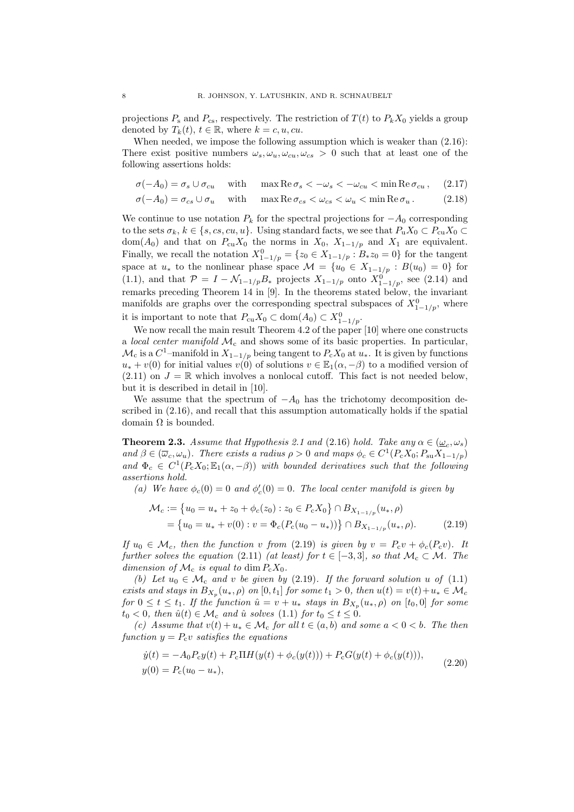projections  $P_s$  and  $P_{cs}$ , respectively. The restriction of  $T(t)$  to  $P_kX_0$  yields a group denoted by  $T_k(t)$ ,  $t \in \mathbb{R}$ , where  $k = c, u, cu$ .

When needed, we impose the following assumption which is weaker than  $(2.16)$ : There exist positive numbers  $\omega_s, \omega_u, \omega_{cu}, \omega_{cs} > 0$  such that at least one of the following assertions holds:

 $\sigma(-A_0) = \sigma_s \cup \sigma_{cu}$  with max  $\text{Re }\sigma_s < -\omega_s < -\omega_{cu} < \text{min }\text{Re }\sigma_{cu}$ , (2.17)

$$
\sigma(-A_0) = \sigma_{cs} \cup \sigma_u \quad \text{with} \quad \max \text{Re } \sigma_{cs} < \omega_{cs} < \omega_u < \min \text{Re } \sigma_u. \tag{2.18}
$$

We continue to use notation  $P_k$  for the spectral projections for  $-A_0$  corresponding to the sets  $\sigma_k, k \in \{s, cs, cu, u\}$ . Using standard facts, we see that  $P_u X_0 \subset P_{cu} X_0 \subset$ dom(A<sub>0</sub>) and that on  $P_{cu}X_0$  the norms in  $X_0$ ,  $X_{1-1/p}$  and  $X_1$  are equivalent. Finally, we recall the notation  $X_{1-1/p}^0 = \{z_0 \in X_{1-1/p} : B_* z_0 = 0\}$  for the tangent space at  $u_*$  to the nonlinear phase space  $\mathcal{M} = \{u_0 \in X_{1-1/p} : B(u_0) = 0\}$  for (1.1), and that  $\mathcal{P} = I - \mathcal{N}_{1-1/p}B_*$  projects  $X_{1-1/p}$  onto  $X_{1-1/p}^0$ , see (2.14) and remarks preceding Theorem 14 in [9]. In the theorems stated below, the invariant manifolds are graphs over the corresponding spectral subspaces of  $X_{1-1/p}^0$ , where it is important to note that  $P_{cu}X_0 \subset \text{dom}(A_0) \subset X_{1-1/p}^0$ .

We now recall the main result Theorem 4.2 of the paper [10] where one constructs a local center manifold  $\mathcal{M}_c$  and shows some of its basic properties. In particular,  $\mathcal{M}_c$  is a  $C^1$ -manifold in  $X_{1-1/p}$  being tangent to  $P_cX_0$  at  $u_*$ . It is given by functions  $u_* + v(0)$  for initial values  $v(0)$  of solutions  $v \in \mathbb{E}_1(\alpha, -\beta)$  to a modified version of  $(2.11)$  on  $J = \mathbb{R}$  which involves a nonlocal cutoff. This fact is not needed below, but it is described in detail in [10].

We assume that the spectrum of  $-A_0$  has the trichotomy decomposition described in (2.16), and recall that this assumption automatically holds if the spatial domain  $Ω$  is bounded.

**Theorem 2.3.** Assume that Hypothesis 2.1 and (2.16) hold. Take any  $\alpha \in (\underline{\omega}_c, \omega_s)$ and  $\beta \in (\overline{\omega}_c, \omega_u)$ . There exists a radius  $\rho > 0$  and maps  $\phi_c \in C^1(P_c X_0; P_{su} X_{1-1/p})$ and  $\Phi_c \in C^1(P_c X_0; \mathbb{E}_1(\alpha, -\beta))$  with bounded derivatives such that the following assertions hold.

(a) We have  $\phi_c(0) = 0$  and  $\phi_c'(0) = 0$ . The local center manifold is given by

$$
\mathcal{M}_c := \{ u_0 = u_* + z_0 + \phi_c(z_0) : z_0 \in P_c X_0 \} \cap B_{X_{1-1/p}}(u_*, \rho)
$$
  
= 
$$
\{ u_0 = u_* + v(0) : v = \Phi_c(P_c(u_0 - u_*)) \} \cap B_{X_{1-1/p}}(u_*, \rho).
$$
 (2.19)

If  $u_0 \in \mathcal{M}_c$ , then the function v from (2.19) is given by  $v = P_c v + \phi_c(P_c v)$ . It further solves the equation (2.11) (at least) for  $t \in [-3,3]$ , so that  $\mathcal{M}_{c} \subset \mathcal{M}$ . The dimension of  $\mathcal{M}_c$  is equal to dim  $P_cX_0$ .

(b) Let  $u_0 \in \mathcal{M}_c$  and v be given by (2.19). If the forward solution u of (1.1) exists and stays in  $B_{X_p}(u_*, \rho)$  on  $[0, t_1]$  for some  $t_1 > 0$ , then  $u(t) = v(t) + u_* \in \mathcal{M}_c$ for  $0 \leq t \leq t_1$ . If the function  $\hat{u} = v + u_*$  stays in  $B_{X_p}(u_*, \rho)$  on  $[t_0, 0]$  for some  $t_0 < 0$ , then  $\hat{u}(t) \in \mathcal{M}_c$  and  $\hat{u}$  solves (1.1) for  $t_0 \le t \le 0$ .

(c) Assume that  $v(t) + u_* \in \mathcal{M}_c$  for all  $t \in (a, b)$  and some  $a < 0 < b$ . The then function  $y = P_c v$  satisfies the equations

$$
\dot{y}(t) = -A_0 P_c y(t) + P_c \Pi H(y(t) + \phi_c(y(t))) + P_c G(y(t) + \phi_c(y(t))),
$$
  
\n
$$
y(0) = P_c(u_0 - u_*),
$$
\n(2.20)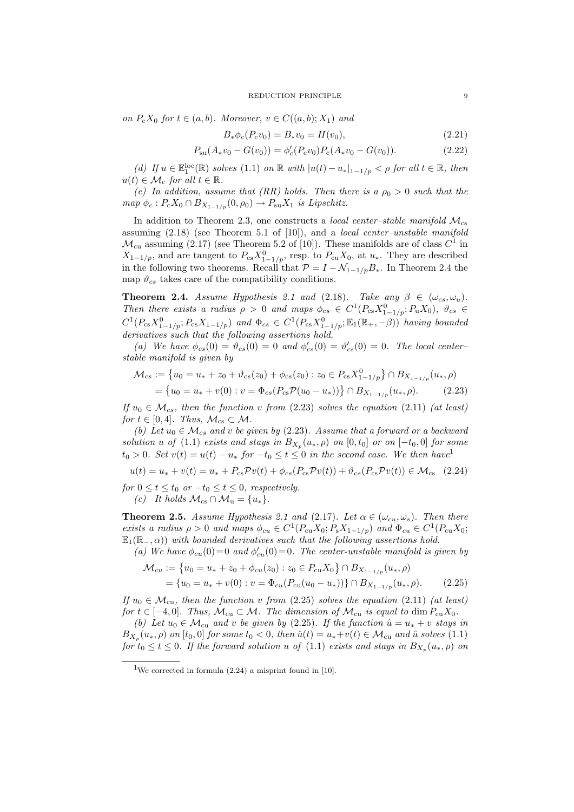#### REDUCTION PRINCIPLE 9

on  $P_{c}X_{0}$  for  $t \in (a, b)$ . Moreover,  $v \in C((a, b); X_{1})$  and

$$
B_*\phi_c(P_c v_0) = B_*v_0 = H(v_0),\tag{2.21}
$$

$$
P_{su}(A_*v_0 - G(v_0)) = \phi_c'(P_c v_0) P_c(A_*v_0 - G(v_0)).
$$
\n(2.22)

(d) If  $u \in \mathbb{E}_1^{\text{loc}}(\mathbb{R})$  solves  $(1.1)$  on  $\mathbb{R}$  with  $|u(t) - u_*|_{1-1/p} < \rho$  for all  $t \in \mathbb{R}$ , then  $u(t) \in \mathcal{M}_c$  for all  $t \in \mathbb{R}$ .

(e) In addition, assume that (RR) holds. Then there is a  $\rho_0 > 0$  such that the  $map \ \phi_c : P_c X_0 \cap B_{X_{1-1/p}}(0, \rho_0) \to P_{su} X_1$  is Lipschitz.

In addition to Theorem 2.3, one constructs a *local center-stable manifold*  $M_{cs}$ assuming  $(2.18)$  (see Theorem 5.1 of [10]), and a *local center–unstable manifold*  $\mathcal{M}_{\text{cu}}$  assuming (2.17) (see Theorem 5.2 of [10]). These manifolds are of class  $C^1$  in  $X_{1-1/p}$ , and are tangent to  $P_{cs}X_{1-1/p}^0$ , resp. to  $P_{cu}X_0$ , at  $u_*$ . They are described in the following two theorems. Recall that  $\mathcal{P} = I - \mathcal{N}_{1-1/p}B_*$ . In Theorem 2.4 the map  $\vartheta_{cs}$  takes care of the compatibility conditions.

**Theorem 2.4.** Assume Hypothesis 2.1 and (2.18). Take any  $\beta \in (\omega_{cs}, \omega_u)$ . Then there exists a radius  $\rho > 0$  and maps  $\phi_{cs} \in C^1(P_{cs}X_{1-1/p}^0; P_uX_0)$ ,  $\vartheta_{cs} \in$  $C^1(P_{cs}X_{1-1/p}^0; P_{cs}X_{1-1/p})$  and  $\Phi_{cs} \in C^1(P_{cs}X_{1-1/p}^0; \mathbb{E}_1(\mathbb{R}_+,-\beta))$  having bounded derivatives such that the following assertions hold.

(a) We have  $\phi_{cs}(0) = \vartheta_{cs}(0) = 0$  and  $\phi'_{cs}(0) = \vartheta'_{cs}(0) = 0$ . The local centerstable manifold is given by

$$
\mathcal{M}_{cs} := \left\{ u_0 = u_* + z_0 + \vartheta_{cs}(z_0) + \phi_{cs}(z_0) : z_0 \in P_{cs} X_{1-1/p}^0 \right\} \cap B_{X_{1-1/p}}(u_*, \rho)
$$
  
= 
$$
\left\{ u_0 = u_* + v(0) : v = \Phi_{cs}(P_{cs} \mathcal{P}(u_0 - u_*)) \right\} \cap B_{X_{1-1/p}}(u_*, \rho).
$$
 (2.23)

If  $u_0 \in \mathcal{M}_{cs}$ , then the function v from (2.23) solves the equation (2.11) (at least) for  $t \in [0, 4]$ . Thus,  $\mathcal{M}_{cs} \subset \mathcal{M}$ .

(b) Let  $u_0 \in \mathcal{M}_{cs}$  and v be given by (2.23). Assume that a forward or a backward solution u of (1.1) exists and stays in  $B_{X_p}(u_*,\rho)$  on  $[0,t_0]$  or on  $[-t_0,0]$  for some  $t_0 > 0$ . Set  $v(t) = u(t) - u_*$  for  $-t_0 \le t \le 0$  in the second case. We then have<sup>1</sup>

 $u(t) = u_* + v(t) = u_* + P_{cs} \mathcal{P} v(t) + \phi_{cs} (P_{cs} \mathcal{P} v(t)) + \vartheta_{cs} (P_{cs} \mathcal{P} v(t)) \in \mathcal{M}_{cs}$  (2.24) for  $0 \le t \le t_0$  or  $-t_0 \le t \le 0$ , respectively. (c) It holds  $\mathcal{M}_{cs} \cap \mathcal{M}_{u} = \{u_*\}.$ 

**Theorem 2.5.** Assume Hypothesis 2.1 and (2.17). Let  $\alpha \in (\omega_{cu}, \omega_s)$ . Then there exists a radius  $\rho > 0$  and maps  $\phi_{cu} \in C^1(P_{cu}X_0; P_sX_{1-1/p})$  and  $\Phi_{cu} \in C^1(P_{cu}X_0;$  $\mathbb{E}_1(\mathbb{R}_-, \alpha)$  with bounded derivatives such that the following assertions hold.

(a) We have  $\phi_{cu}(0) = 0$  and  $\phi'_{cu}(0) = 0$ . The center-unstable manifold is given by

$$
\mathcal{M}_{cu} := \{ u_0 = u_* + z_0 + \phi_{cu}(z_0) : z_0 \in P_{cu} X_0 \} \cap B_{X_{1-1/p}}(u_*, \rho)
$$
  
=  $\{ u_0 = u_* + v(0) : v = \Phi_{cu}(P_{cu}(u_0 - u_*)) \} \cap B_{X_{1-1/p}}(u_*, \rho).$  (2.25)

If  $u_0 \in \mathcal{M}_{\text{cu}},$  then the function v from (2.25) solves the equation (2.11) (at least) for  $t \in [-4,0]$ . Thus,  $\mathcal{M}_{cu} \subset \mathcal{M}$ . The dimension of  $\mathcal{M}_{cu}$  is equal to dim  $P_{cu}X_0$ .

(b) Let  $u_0 \in \mathcal{M}_{cu}$  and v be given by (2.25). If the function  $\hat{u} = u_* + v$  stays in  $B_{X_p}(u_*,\rho)$  on  $[t_0,0]$  for some  $t_0 < 0$ , then  $\hat{u}(t) = u_*+v(t) \in \mathcal{M}_{cu}$  and  $\hat{u}$  solves  $(1.1)$ for  $t_0 \le t \le 0$ . If the forward solution u of (1.1) exists and stays in  $B_{X_p}(u_*, \rho)$  on

<sup>&</sup>lt;sup>1</sup>We corrected in formula  $(2.24)$  a misprint found in [10].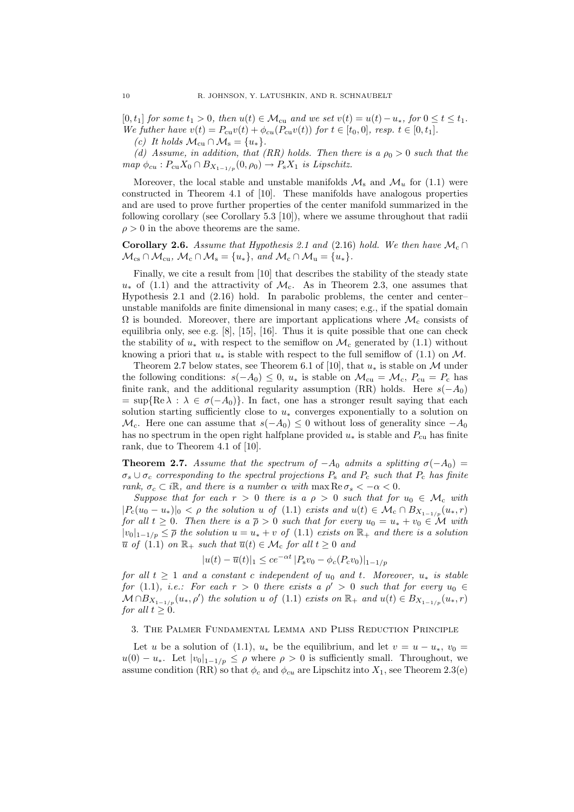$[0, t_1]$  for some  $t_1 > 0$ , then  $u(t) \in \mathcal{M}_{cu}$  and we set  $v(t) = u(t) - u_*$ , for  $0 \le t \le t_1$ . We futher have  $v(t) = P_{cu}v(t) + \phi_{cu}(P_{cu}v(t))$  for  $t \in [t_0, 0]$ , resp.  $t \in [0, t_1]$ .

(c) It holds  $\mathcal{M}_{cu} \cap \mathcal{M}_{s} = \{u_{*}\}.$ 

(d) Assume, in addition, that (RR) holds. Then there is a  $\rho_0 > 0$  such that the  $map \ \phi_{cu} : P_{cu} X_0 \cap B_{X_{1-1/p}}(0, \rho_0) \to P_s X_1$  is Lipschitz.

Moreover, the local stable and unstable manifolds  $\mathcal{M}_s$  and  $\mathcal{M}_u$  for (1.1) were constructed in Theorem 4.1 of [10]. These manifolds have analogous properties and are used to prove further properties of the center manifold summarized in the following corollary (see Corollary 5.3 [10]), where we assume throughout that radii  $\rho > 0$  in the above theorems are the same.

Corollary 2.6. Assume that Hypothesis 2.1 and (2.16) hold. We then have  $\mathcal{M}_c \cap$  $\mathcal{M}_{\text{cs}} \cap \mathcal{M}_{\text{cu}}, \mathcal{M}_{\text{c}} \cap \mathcal{M}_{\text{s}} = \{u_*\}, \text{ and } \mathcal{M}_{\text{c}} \cap \mathcal{M}_{\text{u}} = \{u_*\}.$ 

Finally, we cite a result from [10] that describes the stability of the steady state  $u_*$  of (1.1) and the attractivity of  $\mathcal{M}_c$ . As in Theorem 2.3, one assumes that Hypothesis 2.1 and (2.16) hold. In parabolic problems, the center and center– unstable manifolds are finite dimensional in many cases; e.g., if the spatial domain  $\Omega$  is bounded. Moreover, there are important applications where  $\mathcal{M}_c$  consists of equilibria only, see e.g. [8], [15], [16]. Thus it is quite possible that one can check the stability of  $u_*$  with respect to the semiflow on  $\mathcal{M}_c$  generated by (1.1) without knowing a priori that  $u_*$  is stable with respect to the full semiflow of (1.1) on M.

Theorem 2.7 below states, see Theorem 6.1 of [10], that  $u_*$  is stable on M under the following conditions:  $s(-A_0) \leq 0$ ,  $u_*$  is stable on  $\mathcal{M}_{cu} = \mathcal{M}_{c}$ ,  $P_{cu} = P_c$  has finite rank, and the additional regularity assumption (RR) holds. Here  $s(-A_0)$  $= \sup\{Re \lambda : \lambda \in \sigma(-A_0)\}.$  In fact, one has a stronger result saying that each solution starting sufficiently close to  $u_*$  converges exponentially to a solution on  $\mathcal{M}_{c}$ . Here one can assume that  $s(-A_0) \leq 0$  without loss of generality since  $-A_0$ has no spectrum in the open right halfplane provided  $u_*$  is stable and  $P_{\rm cu}$  has finite rank, due to Theorem 4.1 of [10].

**Theorem 2.7.** Assume that the spectrum of  $-A_0$  admits a splitting  $\sigma(-A_0)$  =  $\sigma_s \cup \sigma_c$  corresponding to the spectral projections  $P_s$  and  $P_c$  such that  $P_c$  has finite rank,  $\sigma_c \subset i\mathbb{R}$ , and there is a number  $\alpha$  with  $\max \text{Re } \sigma_s < -\alpha < 0$ .

Suppose that for each  $r > 0$  there is a  $\rho > 0$  such that for  $u_0 \in \mathcal{M}_c$  with  $|P_c(u_0 - u_*)|_0 < \rho$  the solution u of (1.1) exists and  $u(t) \in \mathcal{M}_c \cap B_{X_{1-1/p}}(u_*, r)$ for all  $t \geq 0$ . Then there is  $a \bar{p} > 0$  such that for every  $u_0 = u_* + v_0 \in \mathcal{M}$  with  $|v_0|_{1-1/n} \leq \overline{\rho}$  the solution  $u = u_* + v$  of (1.1) exists on  $\mathbb{R}_+$  and there is a solution  $\overline{u}$  of (1.1) on  $\mathbb{R}_+$  such that  $\overline{u}(t) \in \mathcal{M}_c$  for all  $t \geq 0$  and

$$
|u(t) - \overline{u}(t)|_1 \le ce^{-\alpha t} |P_s v_0 - \phi_c(P_c v_0)|_{1-1/p}
$$

for all  $t \geq 1$  and a constant c independent of  $u_0$  and t. Moreover,  $u_*$  is stable for (1.1), *i.e.*: For each  $r > 0$  there exists a  $\rho' > 0$  such that for every  $u_0 \in$  $\mathcal{M} \cap B_{X_{1-1/p}}(u_*, \rho')$  the solution u of (1.1) exists on  $\mathbb{R}_+$  and  $u(t) \in B_{X_{1-1/p}}(u_*, r)$ for all  $t \geq 0$ .

## 3. The Palmer Fundamental Lemma and Pliss Reduction Principle

Let u be a solution of (1.1),  $u_*$  be the equilibrium, and let  $v = u - u_*, v_0 =$  $u(0) - u_*$ . Let  $|v_0|_{1-1/p} \leq \rho$  where  $\rho > 0$  is sufficiently small. Throughout, we assume condition (RR) so that  $\phi_c$  and  $\phi_{cu}$  are Lipschitz into  $X_1$ , see Theorem 2.3(e)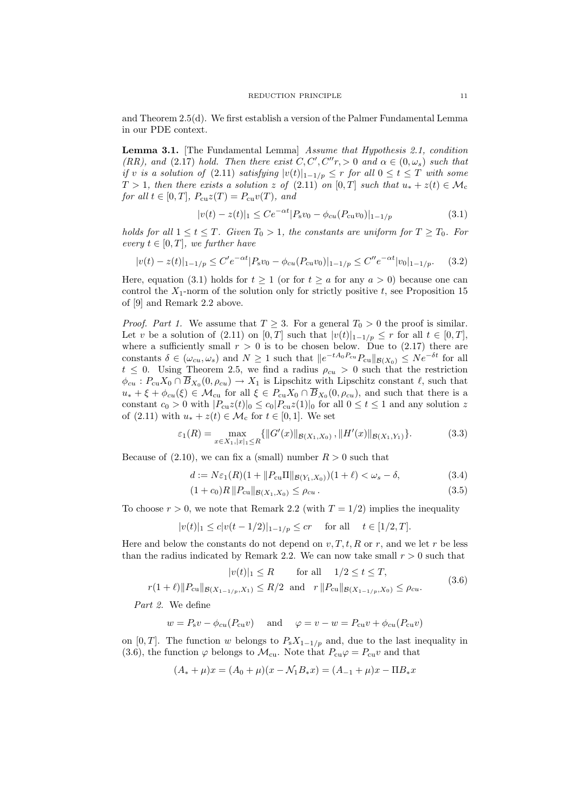and Theorem 2.5(d). We first establish a version of the Palmer Fundamental Lemma in our PDE context.

Lemma 3.1. [The Fundamental Lemma] Assume that Hypothesis 2.1, condition (RR), and (2.17) hold. Then there exist  $C, C', C''r, > 0$  and  $\alpha \in (0, \omega_s)$  such that if v is a solution of (2.11) satisfying  $|v(t)|_{1-1/p} \leq r$  for all  $0 \leq t \leq T$  with some  $T > 1$ , then there exists a solution z of  $(2.11)$  on  $[0, T]$  such that  $u_* + z(t) \in \mathcal{M}_c$ for all  $t \in [0, T]$ ,  $P_{\text{cu}}z(T) = P_{\text{cu}}v(T)$ , and

$$
|v(t) - z(t)|_1 \le Ce^{-\alpha t} |P_s v_0 - \phi_{cu}(P_{cu}v_0)|_{1-1/p}
$$
\n(3.1)

holds for all  $1 \le t \le T$ . Given  $T_0 > 1$ , the constants are uniform for  $T \ge T_0$ . For every  $t \in [0, T]$ , we further have

$$
|v(t) - z(t)|_{1-1/p} \le C'e^{-\alpha t}|P_s v_0 - \phi_{cu}(P_{cu}v_0)|_{1-1/p} \le C''e^{-\alpha t}|v_0|_{1-1/p}.\tag{3.2}
$$

Here, equation (3.1) holds for  $t > 1$  (or for  $t > a$  for any  $a > 0$ ) because one can control the  $X_1$ -norm of the solution only for strictly positive t, see Proposition 15 of [9] and Remark 2.2 above.

*Proof. Part 1.* We assume that  $T \geq 3$ . For a general  $T_0 > 0$  the proof is similar. Let v be a solution of  $(2.11)$  on  $[0, T]$  such that  $|v(t)|_{1-1/p} \leq r$  for all  $t \in [0, T]$ , where a sufficiently small  $r > 0$  is to be chosen below. Due to (2.17) there are constants  $\delta \in (\omega_{cu}, \omega_s)$  and  $N \ge 1$  such that  $||e^{-tA_0P_{cu}}P_{cu}||_{\mathcal{B}(X_0)} \le Ne^{-\delta t}$  for all  $t \leq 0$ . Using Theorem 2.5, we find a radius  $\rho_{cu} > 0$  such that the restriction  $\phi_{cu}$ :  $P_{cu}X_0 \cap \overline{B}_{X_0}(0, \rho_{cu}) \to X_1$  is Lipschitz with Lipschitz constant  $\ell$ , such that  $u_* + \xi + \phi_{cu}(\xi) \in \mathcal{M}_{cu}$  for all  $\xi \in P_{cu} X_0 \cap B_{X_0}(0, \rho_{cu})$ , and such that there is a constant  $c_0 > 0$  with  $|P_{cu}z(t)|_0 \leq c_0|P_{cu}z(1)|_0$  for all  $0 \leq t \leq 1$  and any solution z of  $(2.11)$  with  $u_* + z(t) \in \mathcal{M}_c$  for  $t \in [0,1]$ . We set

$$
\varepsilon_1(R) = \max_{x \in X_1, |x|_1 \le R} \{ ||G'(x)||_{\mathcal{B}(X_1, X_0)}, ||H'(x)||_{\mathcal{B}(X_1, Y_1)} \}.
$$
 (3.3)

Because of  $(2.10)$ , we can fix a (small) number  $R > 0$  such that

$$
d := N\varepsilon_1(R)(1 + \|P_{\text{cu}}\Pi\|_{\mathcal{B}(Y_1, X_0)})(1 + \ell) < \omega_s - \delta,\tag{3.4}
$$

$$
(1 + c_0)R \|P_{\text{cu}}\|_{\mathcal{B}(X_1, X_0)} \le \rho_{cu} \,. \tag{3.5}
$$

To choose  $r > 0$ , we note that Remark 2.2 (with  $T = 1/2$ ) implies the inequality

$$
|v(t)|_1 \le c|v(t-1/2)|_{1-1/p} \le cr \quad \text{for all} \quad t \in [1/2, T].
$$

Here and below the constants do not depend on  $v, T, t, R$  or r, and we let r be less than the radius indicated by Remark 2.2. We can now take small  $r > 0$  such that

$$
|v(t)|_1 \le R \qquad \text{for all} \quad 1/2 \le t \le T,
$$

 $r(1 + \ell) \|P_{cu}\|_{\mathcal{B}(X_{1-1/n},X_1)} \leq R/2$  and  $r \|P_{cu}\|_{\mathcal{B}(X_{1-1/n},X_0)} \leq \rho_{cu}$ . (3.6)

Part 2. We define

$$
w = P_s v - \phi_{cu}(P_{cu}v)
$$
 and  $\varphi = v - w = P_{cu}v + \phi_{cu}(P_{cu}v)$ 

on [0, T]. The function w belongs to  $P_sX_{1-1/p}$  and, due to the last inequality in (3.6), the function  $\varphi$  belongs to  $\mathcal{M}_{cu}$ . Note that  $P_{cu}\varphi = P_{cu}v$  and that

$$
(A_* + \mu)x = (A_0 + \mu)(x - \mathcal{N}_1 B_* x) = (A_{-1} + \mu)x - \Pi B_* x
$$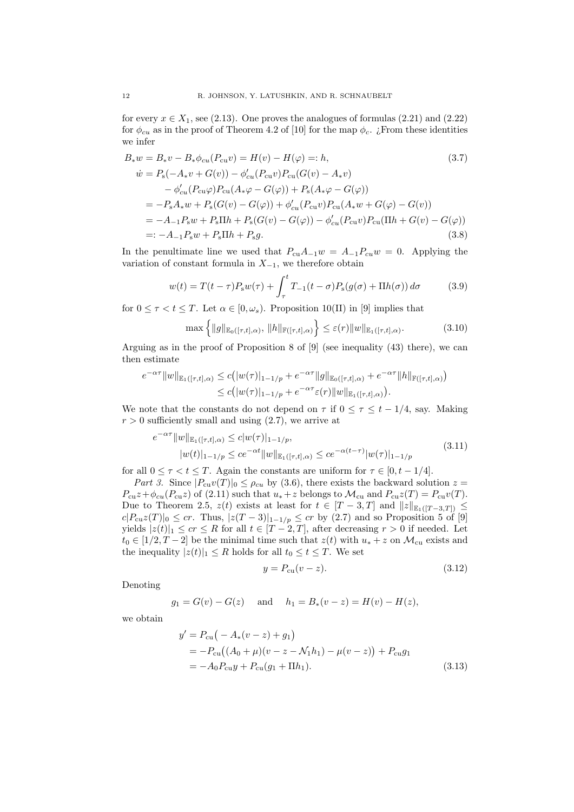for every  $x \in X_1$ , see (2.13). One proves the analogues of formulas (2.21) and (2.22) for  $\phi_{cu}$  as in the proof of Theorem 4.2 of [10] for the map  $\phi_c$ . *i* From these identities we infer

$$
B_* w = B_* v - B_* \phi_{cu}(P_{cu}v) = H(v) - H(\varphi) =: h,
$$
\n
$$
\dot{w} = P_s(-A_* v + G(v)) - \phi'_{cu}(P_{cu}v)P_{cu}(G(v) - A_* v) - \phi'_{cu}(P_{cu} \varphi)P_{cu}(A_* \varphi - G(\varphi)) + P_s(A_* \varphi - G(\varphi))
$$
\n
$$
= -P_s A_* w + P_s(G(v) - G(\varphi)) + \phi'_{cu}(P_{cu} v)P_{cu}(A_* w + G(\varphi) - G(v))
$$
\n
$$
= -A_{-1} P_s w + P_s \Pi h + P_s(G(v) - G(\varphi)) - \phi'_{cu}(P_{cu} v)P_{cu}(\Pi h + G(v) - G(\varphi))
$$
\n
$$
=: -A_{-1} P_s w + P_s \Pi h + P_s g.
$$
\n(3.8)

In the penultimate line we used that  $P_{cu}A_{-1}w = A_{-1}P_{cu}w = 0$ . Applying the variation of constant formula in  $X_{-1}$ , we therefore obtain

$$
w(t) = T(t - \tau)P_{s}w(\tau) + \int_{\tau}^{t} T_{-1}(t - \sigma)P_{s}(g(\sigma) + \Pi h(\sigma)) d\sigma \qquad (3.9)
$$

for  $0 \leq \tau < t \leq T$ . Let  $\alpha \in [0, \omega_s)$ . Proposition 10(II) in [9] implies that

$$
\max\left\{ \|g\|_{\mathbb{E}_0([\tau,t],\alpha)}, \|h\|_{\mathbb{F}([\tau,t],\alpha)} \right\} \le \varepsilon(r) \|w\|_{\mathbb{E}_1([\tau,t],\alpha)}.
$$
 (3.10)

Arguing as in the proof of Proposition 8 of  $[9]$  (see inequality (43) there), we can then estimate

$$
e^{-\alpha \tau} ||w||_{\mathbb{E}_1([\tau,t],\alpha)} \le c (|w(\tau)|_{1-1/p} + e^{-\alpha \tau} ||g||_{\mathbb{E}_0([\tau,t],\alpha)} + e^{-\alpha \tau} ||h||_{\mathbb{F}([\tau,t],\alpha)})
$$
  

$$
\le c (|w(\tau)|_{1-1/p} + e^{-\alpha \tau} \varepsilon(r) ||w||_{\mathbb{E}_1([\tau,t],\alpha)}).
$$

We note that the constants do not depend on  $\tau$  if  $0 \leq \tau \leq t - 1/4$ , say. Making  $r > 0$  sufficiently small and using  $(2.7)$ , we arrive at

$$
e^{-\alpha \tau} \|w\|_{\mathbb{E}_1([\tau,t],\alpha)} \le c|w(\tau)|_{1-1/p},
$$
  
\n
$$
|w(t)|_{1-1/p} \le c e^{-\alpha t} \|w\|_{\mathbb{E}_1([\tau,t],\alpha)} \le c e^{-\alpha(t-\tau)} |w(\tau)|_{1-1/p}
$$
\n(3.11)

for all  $0 \leq \tau < t \leq T$ . Again the constants are uniform for  $\tau \in [0, t - 1/4]$ .

Part 3. Since  $|P_{cu}v(T)|_0 \leq \rho_{cu}$  by (3.6), there exists the backward solution  $z =$  $P_{cu}z+\phi_{cu}(P_{cu}z)$  of (2.11) such that  $u_*+z$  belongs to  $\mathcal{M}_{cu}$  and  $P_{cu}z(T) = P_{cu}v(T)$ . Due to Theorem 2.5,  $z(t)$  exists at least for  $t \in [T-3,T]$  and  $||z||_{\mathbb{E}_1([T-3,T])} \leq$  $c|P_{cu}z(T)|_0 \leq cr$ . Thus,  $|z(T-3)|_{1-1/p} \leq cr$  by (2.7) and so Proposition 5 of [9] yields  $|z(t)|_1 \leq cr \leq R$  for all  $t \in [T-2, T]$ , after decreasing  $r > 0$  if needed. Let  $t_0 \in [1/2, T-2]$  be the minimal time such that  $z(t)$  with  $u_* + z$  on  $\mathcal{M}_{cu}$  exists and the inequality  $|z(t)|_1 \leq R$  holds for all  $t_0 \leq t \leq T$ . We set

$$
y = P_{\text{cu}}(v - z). \tag{3.12}
$$

Denoting

$$
g_1 = G(v) - G(z)
$$
 and  $h_1 = B_*(v - z) = H(v) - H(z)$ ,

we obtain

$$
y' = P_{\text{cu}}(-A_*(v-z) + g_1)
$$
  
=  $-P_{\text{cu}}((A_0 + \mu)(v-z - \mathcal{N}_1 h_1) - \mu(v-z)) + P_{\text{cu}}g_1$   
=  $-A_0 P_{\text{cu}} y + P_{\text{cu}}(g_1 + \Pi h_1).$  (3.13)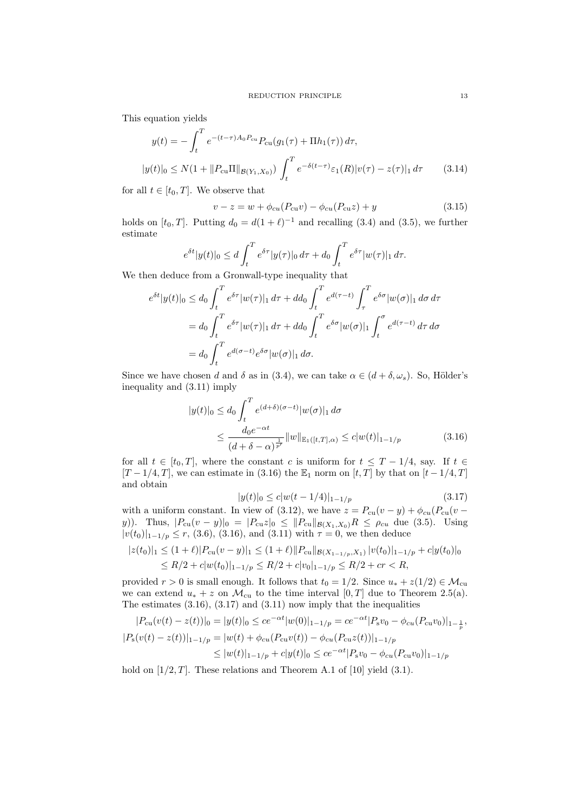This equation yields

$$
y(t) = -\int_{t}^{T} e^{-(t-\tau)A_{0}P_{\text{cu}}}\ P_{\text{cu}}(g_{1}(\tau) + \Pi h_{1}(\tau)) d\tau,
$$
  

$$
|y(t)|_{0} \le N(1 + ||P_{\text{cu}}\Pi||_{\mathcal{B}(Y_{1}, X_{0})}) \int_{t}^{T} e^{-\delta(t-\tau)} \varepsilon_{1}(R) |v(\tau) - z(\tau)|_{1} d\tau
$$
 (3.14)

for all  $t \in [t_0, T]$ . We observe that

$$
v - z = w + \phi_{cu}(P_{cu}v) - \phi_{cu}(P_{cu}z) + y \tag{3.15}
$$

holds on [ $t_0$ , T]. Putting  $d_0 = d(1 + \ell)^{-1}$  and recalling (3.4) and (3.5), we further estimate

$$
e^{\delta t}|y(t)|_0 \le d \int_t^T e^{\delta \tau} |y(\tau)|_0 d\tau + d_0 \int_t^T e^{\delta \tau} |w(\tau)|_1 d\tau.
$$

We then deduce from a Gronwall-type inequality that

$$
e^{\delta t}|y(t)|_0 \le d_0 \int_t^T e^{\delta \tau} |w(\tau)|_1 d\tau + dd_0 \int_t^T e^{d(\tau-t)} \int_\tau^T e^{\delta \sigma} |w(\sigma)|_1 d\sigma d\tau
$$
  
=  $d_0 \int_t^T e^{\delta \tau} |w(\tau)|_1 d\tau + dd_0 \int_t^T e^{\delta \sigma} |w(\sigma)|_1 \int_t^\sigma e^{d(\tau-t)} d\tau d\sigma$   
=  $d_0 \int_t^T e^{d(\sigma-t)} e^{\delta \sigma} |w(\sigma)|_1 d\sigma.$ 

Since we have chosen d and  $\delta$  as in (3.4), we can take  $\alpha \in (d + \delta, \omega_s)$ . So, Hölder's inequality and (3.11) imply

$$
|y(t)|_0 \le d_0 \int_t^T e^{(d+\delta)(\sigma-t)} |w(\sigma)|_1 d\sigma
$$
  
 
$$
\le \frac{d_0 e^{-\alpha t}}{(d+\delta-\alpha)^{\frac{1}{p'}}} ||w||_{\mathbb{E}_1([t,T],\alpha)} \le c|w(t)|_{1-1/p}
$$
(3.16)

for all  $t \in [t_0, T]$ , where the constant c is uniform for  $t \leq T - 1/4$ , say. If  $t \in$  $[T-1/4, T]$ , we can estimate in (3.16) the  $\mathbb{E}_1$  norm on  $[t, T]$  by that on  $[t-1/4, T]$ and obtain

$$
|y(t)|_0 \le c|w(t-1/4)|_{1-1/p} \tag{3.17}
$$

with a uniform constant. In view of (3.12), we have  $z = P_{\text{cu}}(v - y) + \phi_{\text{cu}}(P_{\text{cu}}(v - y))$ y)). Thus,  $|P_{cu}(v - y)|_0 = |P_{cu}z|_0 \leq ||P_{cu}||_{\mathcal{B}(X_1, X_0)}R \leq \rho_{cu}$  due (3.5). Using  $|v(t_0)|_{1-\frac{1}{p}} \leq r$ , (3.6), (3.16), and (3.11) with  $\tau = 0$ , we then deduce

$$
|z(t_0)|_1 \le (1+\ell)|P_{\text{cu}}(v-y)|_1 \le (1+\ell)||P_{\text{cu}}||_{\mathcal{B}(X_{1-1/p},X_1)}|v(t_0)|_{1-1/p}+c|y(t_0)|_0
$$
  

$$
\le R/2+c|w(t_0)|_{1-1/p} \le R/2+c|v_0|_{1-1/p} \le R/2+cr
$$

provided  $r > 0$  is small enough. It follows that  $t_0 = 1/2$ . Since  $u_* + z(1/2) \in \mathcal{M}_{cu}$ we can extend  $u_* + z$  on  $\mathcal{M}_{cu}$  to the time interval  $[0, T]$  due to Theorem 2.5(a). The estimates  $(3.16)$ ,  $(3.17)$  and  $(3.11)$  now imply that the inequalities

$$
|P_{cu}(v(t) - z(t))|_{0} = |y(t)|_{0} \le ce^{-\alpha t}|w(0)|_{1-1/p} = ce^{-\alpha t}|P_{s}v_{0} - \phi_{cu}(P_{cu}v_{0})|_{1-\frac{1}{p}},
$$
  
\n
$$
|P_{s}(v(t) - z(t))|_{1-1/p} = |w(t) + \phi_{cu}(P_{cu}v(t)) - \phi_{cu}(P_{cu}z(t))|_{1-1/p}
$$
  
\n
$$
\leq |w(t)|_{1-1/p} + c|y(t)|_{0} \le ce^{-\alpha t}|P_{s}v_{0} - \phi_{cu}(P_{cu}v_{0})|_{1-1/p}
$$

hold on  $[1/2, T]$ . These relations and Theorem A.1 of [10] yield (3.1).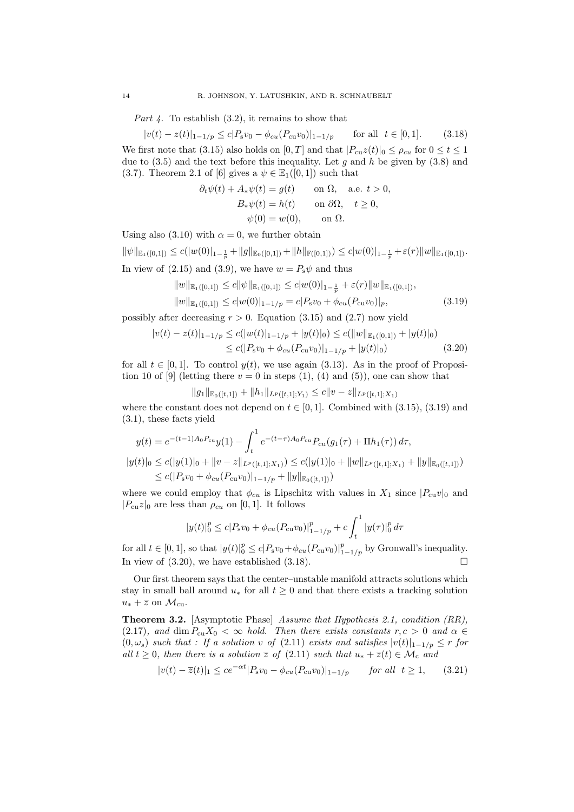*Part 4.* To establish  $(3.2)$ , it remains to show that

$$
|v(t) - z(t)|_{1-1/p} \le c|P_s v_0 - \phi_{cu}(P_{cu}v_0)|_{1-1/p} \quad \text{for all } t \in [0,1]. \tag{3.18}
$$

We first note that (3.15) also holds on [0, T] and that  $|P_{cu}z(t)|_0 \leq \rho_{cu}$  for  $0 \leq t \leq 1$ due to  $(3.5)$  and the text before this inequality. Let g and h be given by  $(3.8)$  and (3.7). Theorem 2.1 of [6] gives a  $\psi \in \mathbb{E}_1([0,1])$  such that

$$
\partial_t \psi(t) + A_* \psi(t) = g(t) \quad \text{on } \Omega, \quad \text{a.e. } t > 0,
$$
  
\n
$$
B_* \psi(t) = h(t) \quad \text{on } \partial\Omega, \quad t \ge 0,
$$
  
\n
$$
\psi(0) = w(0), \quad \text{on } \Omega.
$$

Using also (3.10) with  $\alpha = 0$ , we further obtain

 $\|\psi\|_{\mathbb{E}_1([0,1])} \le c(|w(0)|_{1-\frac{1}{p}} + \|g\|_{\mathbb{E}_0([0,1])} + \|h\|_{\mathbb{F}([0,1])}) \le c|w(0)|_{1-\frac{1}{p}} + \varepsilon(r)\|w\|_{\mathbb{E}_1([0,1])}.$ In view of (2.15) and (3.9), we have  $w = P_s \psi$  and thus

$$
||w||_{\mathbb{E}_1([0,1])} \le c ||\psi||_{\mathbb{E}_1([0,1])} \le c |w(0)|_{1-\frac{1}{p}} + \varepsilon(r) ||w||_{\mathbb{E}_1([0,1])},
$$
  
\n
$$
||w||_{\mathbb{E}_1([0,1])} \le c |w(0)|_{1-1/p} = c |P_s v_0 + \phi_{cu}(P_{cu}v_0)|_p,
$$
\n(3.19)

possibly after decreasing  $r > 0$ . Equation (3.15) and (2.7) now yield

$$
|v(t) - z(t)|_{1-1/p} \le c(|w(t)|_{1-1/p} + |y(t)|_0) \le c(||w||_{\mathbb{E}_1([0,1])} + |y(t)|_0)
$$
  
 
$$
\le c(|P_s v_0 + \phi_{cu}(P_{cu}v_0)|_{1-1/p} + |y(t)|_0)
$$
(3.20)

for all  $t \in [0, 1]$ . To control  $y(t)$ , we use again (3.13). As in the proof of Proposition 10 of [9] (letting there  $v = 0$  in steps (1), (4) and (5)), one can show that

$$
||g_1||_{\mathbb{E}_0([t,1])} + ||h_1||_{L^p([t,1];Y_1)} \leq c||v-z||_{L^p([t,1];X_1)}
$$

where the constant does not depend on  $t \in [0, 1]$ . Combined with (3.15), (3.19) and (3.1), these facts yield

$$
y(t) = e^{-(t-1)A_0 P_{cu}} y(1) - \int_t^1 e^{-(t-\tau)A_0 P_{cu}} P_{cu}(g_1(\tau) + \Pi h_1(\tau)) d\tau,
$$

$$
|y(t)|_0 \le c(|y(1)|_0 + \|v - z\|_{L^p([t,1];X_1)}) \le c(|y(1)|_0 + \|w\|_{L^p([t,1];X_1)} + \|y\|_{\mathbb{E}_0([t,1])})
$$
  

$$
\le c(|P_s v_0 + \phi_{cu}(P_{cu}v_0)|_{1-1/p} + \|y\|_{\mathbb{E}_0([t,1])})
$$

where we could employ that  $\phi_{cu}$  is Lipschitz with values in  $X_1$  since  $|P_{cu}v|_0$  and  $|P_{cu}z|_0$  are less than  $\rho_{cu}$  on [0, 1]. It follows

$$
|y(t)|_{0}^{p} \le c|P_{s}v_{0} + \phi_{cu}(P_{cu}v_{0})|_{1-1/p}^{p} + c\int_{t}^{1} |y(\tau)|_{0}^{p} d\tau
$$

for all  $t \in [0, 1]$ , so that  $|y(t)|_0^p \le c|P_s v_0 + \phi_{cu}(P_{cu}v_0)|_{1-1/p}^p$  by Gronwall's inequality. In view of  $(3.20)$ , we have established  $(3.18)$ .

Our first theorem says that the center–unstable manifold attracts solutions which stay in small ball around  $u_*$  for all  $t \geq 0$  and that there exists a tracking solution  $u_* + \overline{z}$  on  $\mathcal{M}_{\text{cu}}$ .

Theorem 3.2. [Asymptotic Phase] Assume that Hypothesis 2.1, condition (RR), (2.17), and dim  $P_{cu}X_0 < \infty$  hold. Then there exists constants  $r, c > 0$  and  $\alpha \in$  $(0, \omega_s)$  such that : If a solution v of  $(2.11)$  exists and satisfies  $|v(t)|_{1-1/p} \leq r$  for all  $t \geq 0$ , then there is a solution  $\overline{z}$  of  $(2.11)$  such that  $u_* + \overline{z}(t) \in \mathcal{M}_c$  and

$$
|v(t) - \overline{z}(t)|_1 \le ce^{-\alpha t} |P_s v_0 - \phi_{cu}(P_{cu}v_0)|_{1-1/p} \quad \text{for all } t \ge 1,
$$
 (3.21)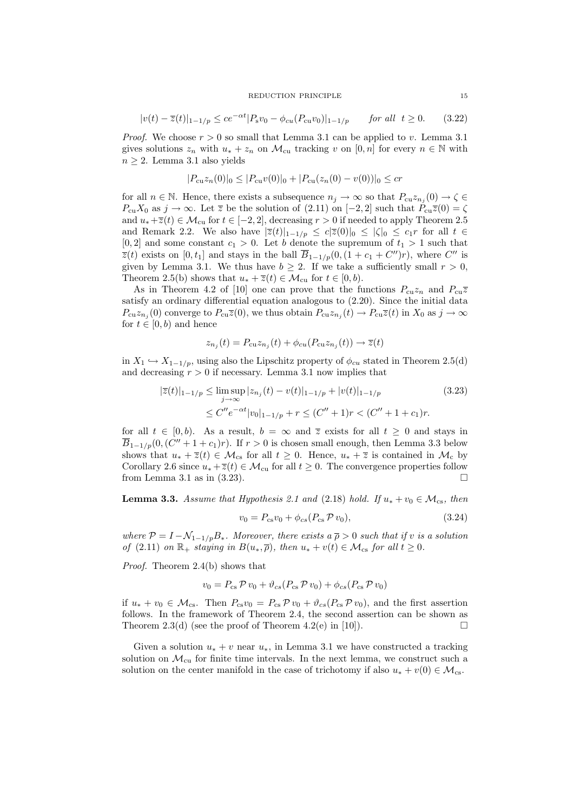#### REDUCTION PRINCIPLE 15

$$
|v(t) - \overline{z}(t)|_{1-1/p} \le ce^{-\alpha t} |P_s v_0 - \phi_{cu}(P_{cu}v_0)|_{1-1/p} \quad \text{for all } t \ge 0. \tag{3.22}
$$

*Proof.* We choose  $r > 0$  so small that Lemma 3.1 can be applied to v. Lemma 3.1 gives solutions  $z_n$  with  $u_* + z_n$  on  $\mathcal{M}_{\text{cu}}$  tracking v on  $[0, n]$  for every  $n \in \mathbb{N}$  with  $n \geq 2$ . Lemma 3.1 also yields

$$
|P_{cu}z_n(0)|_0 \le |P_{cu}v(0)|_0 + |P_{cu}(z_n(0) - v(0))|_0 \le cr
$$

for all  $n \in \mathbb{N}$ . Hence, there exists a subsequence  $n_j \to \infty$  so that  $P_{cu} z_{n_j}(0) \to \zeta \in$  $P_{cu}X_0$  as  $j \to \infty$ . Let  $\overline{z}$  be the solution of (2.11) on [-2, 2] such that  $P_{cu}\overline{z}(0) = \zeta$ and  $u_*+\overline{z}(t) \in \mathcal{M}_{\text{cu}}$  for  $t \in [-2,2]$ , decreasing  $r > 0$  if needed to apply Theorem 2.5 and Remark 2.2. We also have  $|\overline{z}(t)|_{1-1/p} \le c|\overline{z}(0)|_0 \le |\zeta|_0 \le c_1r$  for all  $t \in$  $[0, 2]$  and some constant  $c_1 > 0$ . Let b denote the supremum of  $t_1 > 1$  such that  $\overline{z}(t)$  exists on  $[0, t_1]$  and stays in the ball  $\overline{B}_{1-1/p}(0, (1+c_1+C'')r)$ , where  $C''$  is given by Lemma 3.1. We thus have  $b \geq 2$ . If we take a sufficiently small  $r > 0$ , Theorem 2.5(b) shows that  $u_* + \overline{z}(t) \in \mathcal{M}_{\text{cu}}$  for  $t \in [0, b)$ .

As in Theorem 4.2 of [10] one can prove that the functions  $P_{cu}z_n$  and  $P_{cu}\overline{z}$ satisfy an ordinary differential equation analogous to (2.20). Since the initial data  $P_{cu}z_{n_j}(0)$  converge to  $P_{cu}\overline{z}(0)$ , we thus obtain  $P_{cu}z_{n_j}(t) \to P_{cu}\overline{z}(t)$  in  $X_0$  as  $j \to \infty$ for  $t \in [0, b)$  and hence

$$
z_{n_j}(t) = P_{\text{cu}} z_{n_j}(t) + \phi_{\text{cu}} (P_{\text{cu}} z_{n_j}(t)) \rightarrow \overline{z}(t)
$$

in  $X_1 \hookrightarrow X_{1-1/p}$ , using also the Lipschitz property of  $\phi_{cu}$  stated in Theorem 2.5(d) and decreasing  $r > 0$  if necessary. Lemma 3.1 now implies that

$$
|\overline{z}(t)|_{1-1/p} \le \limsup_{j \to \infty} |z_{n_j}(t) - v(t)|_{1-1/p} + |v(t)|_{1-1/p}
$$
\n
$$
\le C''e^{-\alpha t}|v_0|_{1-1/p} + r \le (C'' + 1)r < (C'' + 1 + c_1)r.
$$
\n(3.23)

for all  $t \in [0, b)$ . As a result,  $b = \infty$  and  $\overline{z}$  exists for all  $t \geq 0$  and stays in  $\overline{B}_{1-1/p}(0, (C'' + 1 + c_1)r)$ . If  $r > 0$  is chosen small enough, then Lemma 3.3 below shows that  $u_* + \overline{z}(t) \in \mathcal{M}_{cs}$  for all  $t \geq 0$ . Hence,  $u_* + \overline{z}$  is contained in  $\mathcal{M}_c$  by Corollary 2.6 since  $u_* + \overline{z}(t) \in \mathcal{M}_{\text{cu}}$  for all  $t \geq 0$ . The convergence properties follow from Lemma 3.1 as in  $(3.23)$ .

**Lemma 3.3.** Assume that Hypothesis 2.1 and (2.18) hold. If  $u_* + v_0 \in M_{cs}$ , then

$$
v_0 = P_{cs}v_0 + \phi_{cs}(P_{cs} \mathcal{P} v_0), \qquad (3.24)
$$

where  $P = I - N_{1-1/p}B_*$ . Moreover, there exists  $a \bar{p} > 0$  such that if v is a solution of (2.11) on  $\mathbb{R}_+$  staying in  $B(u_*,\overline{\rho})$ , then  $u_* + v(t) \in \mathcal{M}_{\text{cs}}$  for all  $t \geq 0$ .

Proof. Theorem 2.4(b) shows that

$$
v_0 = P_{\rm cs} \mathcal{P} \, v_0 + \vartheta_{cs} (P_{\rm cs} \mathcal{P} \, v_0) + \phi_{cs} (P_{\rm cs} \mathcal{P} \, v_0)
$$

if  $u_* + v_0 \in \mathcal{M}_{\text{cs}}$ . Then  $P_{\text{cs}}v_0 = P_{\text{cs}}\mathcal{P} v_0 + \vartheta_{\text{cs}}(P_{\text{cs}}\mathcal{P} v_0)$ , and the first assertion follows. In the framework of Theorem 2.4, the second assertion can be shown as Theorem 2.3(d) (see the proof of Theorem 4.2(e) in [10]).  $\square$ 

Given a solution  $u_* + v$  near  $u_*,$  in Lemma 3.1 we have constructed a tracking solution on  $\mathcal{M}_{\text{cu}}$  for finite time intervals. In the next lemma, we construct such a solution on the center manifold in the case of trichotomy if also  $u_* + v(0) \in \mathcal{M}_{cs}$ .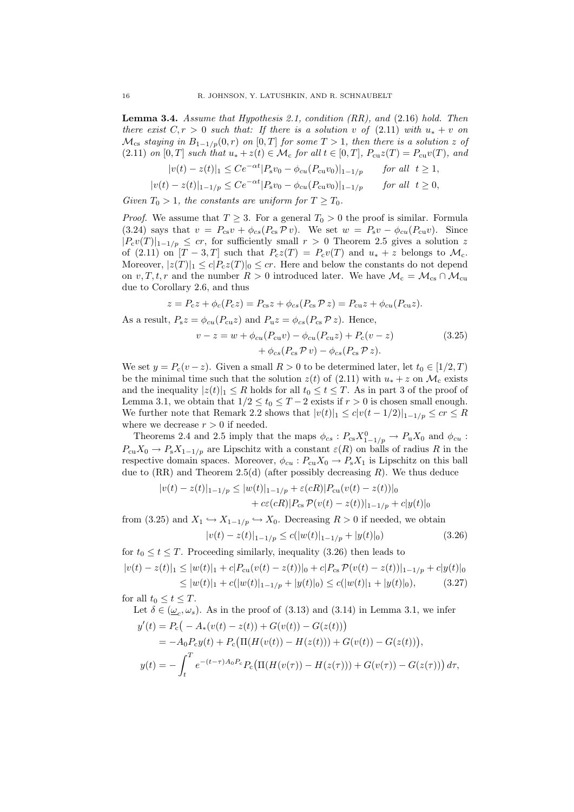**Lemma 3.4.** Assume that Hypothesis 2.1, condition  $(RR)$ , and  $(2.16)$  hold. Then there exist  $C, r > 0$  such that: If there is a solution v of  $(2.11)$  with  $u_* + v$  on  $\mathcal{M}_{\text{cs}}$  staying in  $B_{1-1/p}(0,r)$  on  $[0,T]$  for some  $T > 1$ , then there is a solution z of (2.11) on [0, T] such that  $u_* + z(t) \in \mathcal{M}_c$  for all  $t \in [0, T]$ ,  $P_{cu}z(T) = P_{cu}v(T)$ , and

$$
|v(t) - z(t)|_1 \le Ce^{-\alpha t} |P_s v_0 - \phi_{cu}(P_{cu}v_0)|_{1-1/p} \quad \text{for all } t \ge 1,
$$

$$
|v(t) - z(t)|_{1-1/p} \le Ce^{-\alpha t} |P_s v_0 - \phi_{cu}(P_{cu}v_0)|_{1-1/p} \quad \text{for all } t \ge 0,
$$

Given  $T_0 > 1$ , the constants are uniform for  $T \geq T_0$ .

*Proof.* We assume that  $T \geq 3$ . For a general  $T_0 > 0$  the proof is similar. Formula (3.24) says that  $v = P_{cs}v + \phi_{cs}(P_{cs} \mathcal{P} v)$ . We set  $w = P_s v - \phi_{cu}(P_{cu}v)$ . Since  $|P_cv(T)|_{1-1/p} \leq cr$ , for sufficiently small  $r > 0$  Theorem 2.5 gives a solution z of (2.11) on  $[T-3,T]$  such that  $P_cz(T) = P_cv(T)$  and  $u_*+z$  belongs to  $\mathcal{M}_c$ . Moreover,  $|z(T)|_1 \le c|P_c z(T)|_0 \le c r$ . Here and below the constants do not depend on v, T, t, r and the number  $R > 0$  introduced later. We have  $\mathcal{M}_{c} = \mathcal{M}_{cs} \cap \mathcal{M}_{cu}$ due to Corollary 2.6, and thus

$$
z = P_{\rm c}z + \phi_c(P_{\rm c}z) = P_{\rm cs}z + \phi_{cs}(P_{\rm cs}\mathcal{P}z) = P_{\rm cu}z + \phi_{cu}(P_{\rm cu}z).
$$

As a result,  $P_s z = \phi_{cu}(P_{cu}z)$  and  $P_u z = \phi_{cs}(P_{cs} \mathcal{P} z)$ . Hence,

$$
v - z = w + \phi_{cu}(P_{cu}v) - \phi_{cu}(P_{cu}z) + P_c(v - z)
$$
  
+ 
$$
\phi_{cs}(P_{cs} \mathcal{P} v) - \phi_{cs}(P_{cs} \mathcal{P} z).
$$
 (3.25)

We set  $y = P_c(v - z)$ . Given a small  $R > 0$  to be determined later, let  $t_0 \in [1/2, T)$ be the minimal time such that the solution  $z(t)$  of (2.11) with  $u_* + z$  on  $\mathcal{M}_c$  exists and the inequality  $|z(t)|_1 \leq R$  holds for all  $t_0 \leq t \leq T$ . As in part 3 of the proof of Lemma 3.1, we obtain that  $1/2 \le t_0 \le T - 2$  exists if  $r > 0$  is chosen small enough. We further note that Remark 2.2 shows that  $|v(t)|_1 \leq c|v(t-1/2)|_{1-1/p} \leq cr \leq R$ where we decrease  $r > 0$  if needed.

Theorems 2.4 and 2.5 imply that the maps  $\phi_{cs} : P_{cs} X_{1-1/p}^0 \to P_u X_0$  and  $\phi_{cu}$ :  $P_{\text{cu}}X_0 \to P_{\text{s}}X_{1-1/p}$  are Lipschitz with a constant  $\varepsilon(R)$  on balls of radius R in the respective domain spaces. Moreover,  $\phi_{cu} : P_{cu}X_0 \to P_sX_1$  is Lipschitz on this ball due to  $(RR)$  and Theorem 2.5(d) (after possibly decreasing R). We thus deduce

$$
|v(t) - z(t)|_{1-1/p} \le |w(t)|_{1-1/p} + \varepsilon(cR)|P_{\text{cu}}(v(t) - z(t))|_{0}
$$
  
+  $c\varepsilon(cR)|P_{\text{cs}} \mathcal{P}(v(t) - z(t))|_{1-1/p} + c|y(t)|_{0}$ 

from (3.25) and  $X_1 \hookrightarrow X_{1-1/p} \hookrightarrow X_0$ . Decreasing  $R > 0$  if needed, we obtain

$$
|v(t) - z(t)|_{1-1/p} \le c(|w(t)|_{1-1/p} + |y(t)|_0)
$$
\n(3.26)

for  $t_0 \le t \le T$ . Proceeding similarly, inequality (3.26) then leads to

$$
|v(t) - z(t)|_1 \le |w(t)|_1 + c|P_{\text{cu}}(v(t) - z(t))|_0 + c|P_{\text{cs}} \mathcal{P}(v(t) - z(t))|_{1-1/p} + c|y(t)|_0
$$
  
\n
$$
\le |w(t)|_1 + c(|w(t)|_{1-1/p} + |y(t)|_0) \le c(|w(t)|_1 + |y(t)|_0), \tag{3.27}
$$

for all  $t_0 \leq t \leq T$ .

Let 
$$
\delta \in (\underline{\omega}_c, \omega_s)
$$
. As in the proof of (3.13) and (3.14) in Lemma 3.1, we infer  
\n
$$
y'(t) = P_c(-A_*(v(t) - z(t)) + G(v(t)) - G(z(t)))
$$
\n
$$
= -A_0 P_c y(t) + P_c (\Pi(H(v(t)) - H(z(t))) + G(v(t)) - G(z(t))),
$$
\n
$$
y(t) = -\int_t^T e^{-(t-\tau)A_0 P_c} P_c (\Pi(H(v(\tau)) - H(z(\tau))) + G(v(\tau)) - G(z(\tau))) d\tau,
$$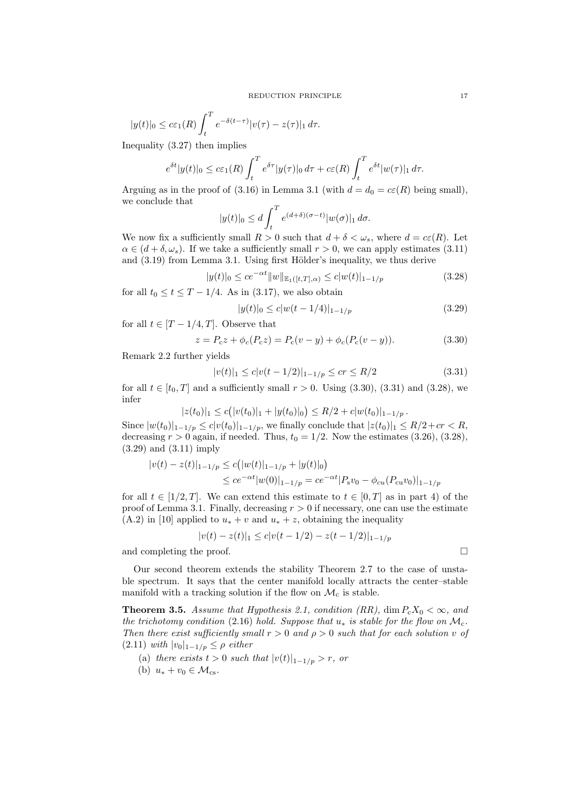$$
|y(t)|_0 \le c\varepsilon_1(R) \int_t^T e^{-\delta(t-\tau)} |v(\tau) - z(\tau)|_1 d\tau.
$$

Inequality (3.27) then implies

$$
e^{\delta t}|y(t)|_0 \leq c\varepsilon_1(R)\int_t^T e^{\delta \tau}|y(\tau)|_0 d\tau + c\varepsilon(R)\int_t^T e^{\delta t}|w(\tau)|_1 d\tau.
$$

Arguing as in the proof of (3.16) in Lemma 3.1 (with  $d = d_0 = c\epsilon(R)$  being small), we conclude that

$$
|y(t)|_0 \le d \int_t^T e^{(d+\delta)(\sigma-t)} |w(\sigma)|_1 d\sigma.
$$

We now fix a sufficiently small  $R > 0$  such that  $d + \delta < \omega_s$ , where  $d = c\varepsilon(R)$ . Let  $\alpha \in (d + \delta, \omega_s)$ . If we take a sufficiently small  $r > 0$ , we can apply estimates (3.11) and  $(3.19)$  from Lemma 3.1. Using first Hölder's inequality, we thus derive

$$
|y(t)|_0 \le c e^{-\alpha t} \|w\|_{\mathbb{E}_1([t,T],\alpha)} \le c |w(t)|_{1-1/p}
$$
\n(3.28)

for all  $t_0 \le t \le T - 1/4$ . As in (3.17), we also obtain

$$
|y(t)|_0 \le c|w(t-1/4)|_{1-1/p} \tag{3.29}
$$

for all  $t \in [T-1/4, T]$ . Observe that

$$
z = P_c z + \phi_c(P_c z) = P_c(v - y) + \phi_c(P_c(v - y)).
$$
\n(3.30)

Remark 2.2 further yields

$$
|v(t)|_1 \le c|v(t-1/2)|_{1-1/p} \le cr \le R/2
$$
\n(3.31)

for all  $t \in [t_0, T]$  and a sufficiently small  $r > 0$ . Using (3.30), (3.31) and (3.28), we infer

$$
|z(t_0)|_1 \le c(|v(t_0)|_1 + |y(t_0)|_0) \le R/2 + c|w(t_0)|_{1-1/p}.
$$

Since  $|w(t_0)|_{1-1/p} \le c |v(t_0)|_{1-1/p}$ , we finally conclude that  $|z(t_0)|_1 \le R/2 + c r < R$ , decreasing  $r > 0$  again, if needed. Thus,  $t_0 = 1/2$ . Now the estimates (3.26), (3.28), (3.29) and (3.11) imply

$$
|v(t) - z(t)|_{1-1/p} \le c(|w(t)|_{1-1/p} + |y(t)|_0)
$$
  
\n
$$
\le c e^{-\alpha t} |w(0)|_{1-1/p} = c e^{-\alpha t} |P_s v_0 - \phi_{cu} (P_{cu} v_0)|_{1-1/p}
$$

for all  $t \in [1/2, T]$ . We can extend this estimate to  $t \in [0, T]$  as in part 4) of the proof of Lemma 3.1. Finally, decreasing  $r > 0$  if necessary, one can use the estimate (A.2) in [10] applied to  $u_* + v$  and  $u_* + z$ , obtaining the inequality

$$
|v(t) - z(t)|_1 \le c|v(t - 1/2) - z(t - 1/2)|_{1-1/p}
$$

and completing the proof.

Our second theorem extends the stability Theorem 2.7 to the case of unstable spectrum. It says that the center manifold locally attracts the center–stable manifold with a tracking solution if the flow on  $\mathcal{M}_c$  is stable.

**Theorem 3.5.** Assume that Hypothesis 2.1, condition (RR), dim  $P_cX_0 < \infty$ , and the trichotomy condition (2.16) hold. Suppose that  $u_*$  is stable for the flow on  $\mathcal{M}_c$ . Then there exist sufficiently small  $r > 0$  and  $\rho > 0$  such that for each solution v of (2.11) with  $|v_0|_{1-1/p} \leq \rho$  either

- (a) there exists  $t > 0$  such that  $|v(t)|_{1-1/p} > r$ , or
- (b)  $u_* + v_0 \in \mathcal{M}_{\text{cs}}$ .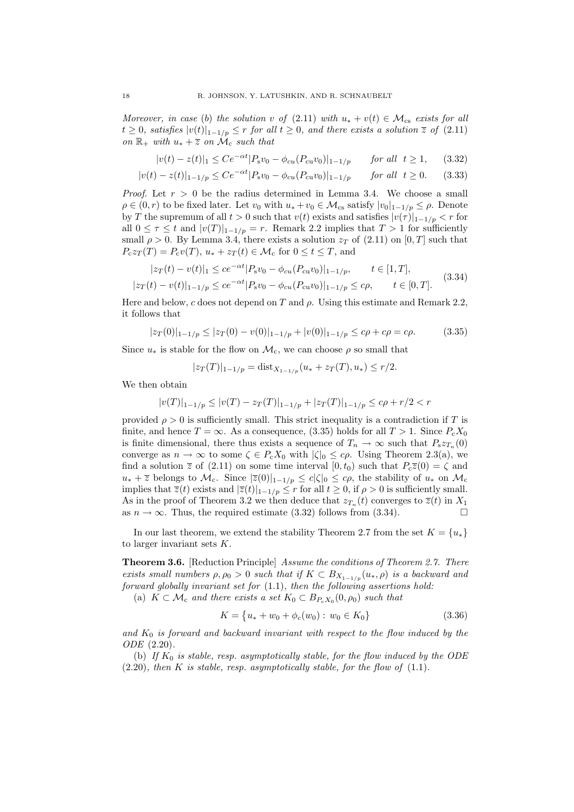Moreover, in case (b) the solution v of (2.11) with  $u_* + v(t) \in \mathcal{M}_{cs}$  exists for all  $t \geq 0$ , satisfies  $|v(t)|_{1-1/p} \leq r$  for all  $t \geq 0$ , and there exists a solution  $\overline{z}$  of  $(2.11)$ on  $\mathbb{R}_+$  with  $u_* + \overline{z}$  on  $\mathcal{M}_c$  such that

$$
|v(t) - z(t)|_1 \le Ce^{-\alpha t} |P_s v_0 - \phi_{cu}(P_{cu}v_0)|_{1-1/p} \quad \text{for all } t \ge 1,
$$
 (3.32)

$$
|v(t) - z(t)|_{1-1/p} \le Ce^{-\alpha t} |P_s v_0 - \phi_{cu}(P_{cu}v_0)|_{1-1/p} \quad \text{for all } t \ge 0. \tag{3.33}
$$

*Proof.* Let  $r > 0$  be the radius determined in Lemma 3.4. We choose a small  $\rho \in (0, r)$  to be fixed later. Let  $v_0$  with  $u_* + v_0 \in \mathcal{M}_{cs}$  satisfy  $|v_0|_{1-1/p} \leq \rho$ . Denote by T the supremum of all  $t > 0$  such that  $v(t)$  exists and satisfies  $|v(\tau)|_{1-\frac{1}{p}} < r$  for all  $0 \leq \tau \leq t$  and  $|v(T)|_{1-\frac{1}{p}} = r$ . Remark 2.2 implies that  $T > 1$  for sufficiently small  $\rho > 0$ . By Lemma 3.4, there exists a solution  $z_T$  of (2.11) on [0, T] such that  $P_c z_T(T) = P_c v(T), u_* + z_T(t) \in \mathcal{M}_c$  for  $0 \le t \le T$ , and

$$
|z_T(t) - v(t)|_1 \le ce^{-\alpha t}|P_s v_0 - \phi_{cu}(P_{cu}v_0)|_{1-1/p}, \qquad t \in [1, T],
$$
  

$$
|z_T(t) - v(t)|_{1-1/p} \le ce^{-\alpha t}|P_s v_0 - \phi_{cu}(P_{cu}v_0)|_{1-1/p} \le c\rho, \qquad t \in [0, T].
$$
 (3.34)

Here and below, c does not depend on T and  $\rho$ . Using this estimate and Remark 2.2, it follows that

$$
|z_T(0)|_{1-1/p} \le |z_T(0) - v(0)|_{1-1/p} + |v(0)|_{1-1/p} \le c\rho + c\rho = c\rho. \tag{3.35}
$$

Since  $u_*$  is stable for the flow on  $\mathcal{M}_c$ , we can choose  $\rho$  so small that

$$
|z_T(T)|_{1-1/p} = \text{dist}_{X_{1-1/p}}(u_* + z_T(T), u_*) \le r/2.
$$

We then obtain

$$
|v(T)|_{1-1/p} \le |v(T) - z_T(T)|_{1-1/p} + |z_T(T)|_{1-1/p} \le c\rho + r/2 < r
$$

provided  $\rho > 0$  is sufficiently small. This strict inequality is a contradiction if T is finite, and hence  $T = \infty$ . As a consequence, (3.35) holds for all  $T > 1$ . Since  $P_c X_0$ is finite dimensional, there thus exists a sequence of  $T_n \to \infty$  such that  $P_s z_{T_n}(0)$ converge as  $n \to \infty$  to some  $\zeta \in P_cX_0$  with  $|\zeta|_0 \leq c\rho$ . Using Theorem 2.3(a), we find a solution  $\overline{z}$  of (2.11) on some time interval [0,  $t_0$ ) such that  $P_c\overline{z}(0) = \zeta$  and  $u_* + \overline{z}$  belongs to  $\mathcal{M}_c$ . Since  $|\overline{z}(0)|_{1-1/p} \leq c|\zeta|_0 \leq c\rho$ , the stability of  $u_*$  on  $\mathcal{M}_c$ implies that  $\overline{z}(t)$  exists and  $|\overline{z}(t)|_{1-1/p} \leq r$  for all  $t \geq 0$ , if  $\rho > 0$  is sufficiently small. As in the proof of Theorem 3.2 we then deduce that  $z_{T_n}(t)$  converges to  $\overline{z}(t)$  in  $X_1$ as  $n \to \infty$ . Thus, the required estimate (3.32) follows from (3.34).

In our last theorem, we extend the stability Theorem 2.7 from the set  $K = \{u_*\}$ to larger invariant sets  $K$ .

Theorem 3.6. [Reduction Principle] Assume the conditions of Theorem 2.7. There exists small numbers  $\rho, \rho_0 > 0$  such that if  $K \subset B_{X_{1-1/n}}(u_*, \rho)$  is a backward and forward globally invariant set for (1.1), then the following assertions hold:

(a)  $K \subset \mathcal{M}_c$  and there exists a set  $K_0 \subset B_{P_cX_0}(0,\rho_0)$  such that

$$
K = \{u_* + w_0 + \phi_c(w_0) : w_0 \in K_0\}
$$
\n(3.36)

and  $K_0$  is forward and backward invariant with respect to the flow induced by the ODE (2.20).

(b) If  $K_0$  is stable, resp. asymptotically stable, for the flow induced by the ODE  $(2.20)$ , then K is stable, resp. asymptotically stable, for the flow of  $(1.1)$ .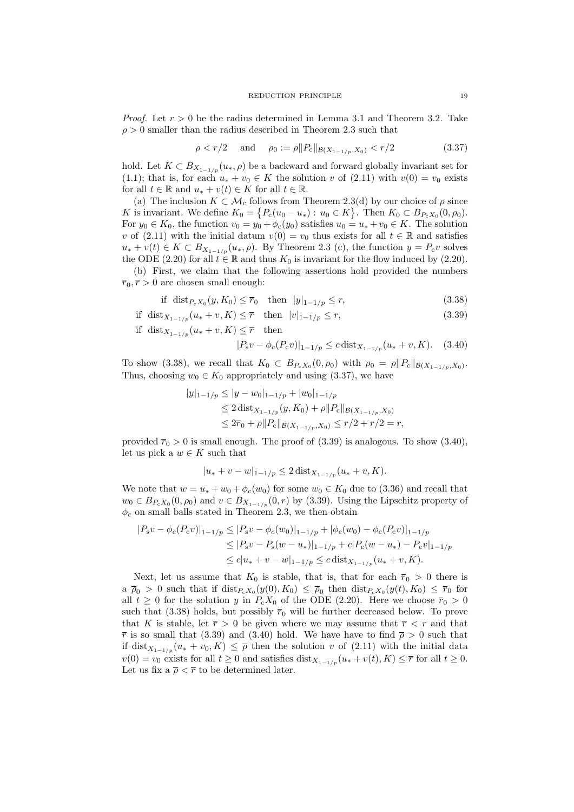*Proof.* Let  $r > 0$  be the radius determined in Lemma 3.1 and Theorem 3.2. Take  $\rho > 0$  smaller than the radius described in Theorem 2.3 such that

$$
\rho < r/2 \quad \text{and} \quad \rho_0 := \rho \| P_c \|_{\mathcal{B}(X_{1-1/p}, X_0)} < r/2 \tag{3.37}
$$

hold. Let  $K \subset B_{X_{1-1/p}}(u_*, \rho)$  be a backward and forward globally invariant set for (1.1); that is, for each  $u_* + v_0 \in K$  the solution v of (2.11) with  $v(0) = v_0$  exists for all  $t \in \mathbb{R}$  and  $u_* + v(t) \in K$  for all  $t \in \mathbb{R}$ .

(a) The inclusion  $K \subset \mathcal{M}_c$  follows from Theorem 2.3(d) by our choice of  $\rho$  since K is invariant. We define  $K_0 = \{P_c(u_0 - u_*) : u_0 \in K\}$ . Then  $K_0 \subset B_{P_cX_0}(0, \rho_0)$ . For  $y_0 \in K_0$ , the function  $v_0 = y_0 + \phi_c(y_0)$  satisfies  $u_0 = u_* + v_0 \in K$ . The solution v of (2.11) with the initial datum  $v(0) = v_0$  thus exists for all  $t \in \mathbb{R}$  and satisfies  $u_* + v(t) \in K \subset B_{X_{1-1/n}}(u_*, \rho)$ . By Theorem 2.3 (c), the function  $y = P_c v$  solves the ODE (2.20) for all  $t \in \mathbb{R}$  and thus  $K_0$  is invariant for the flow induced by (2.20).

(b) First, we claim that the following assertions hold provided the numbers  $\overline{r}_0$ ,  $\overline{r} > 0$  are chosen small enough:

if 
$$
\text{dist}_{P_cX_0}(y, K_0) \leq \bar{r}_0
$$
 then  $|y|_{1-1/p} \leq r$ ,  $(3.38)$ 

if 
$$
dist_{X_{1-1/p}}(u_* + v, K) \leq \overline{r}
$$
 then  $|v|_{1-1/p} \leq r$ ,  $(3.39)$ 

if dist<sub> $X_{1-1/p}$ </sub>  $(u_* + v, K) \leq \overline{r}$  then

$$
|P_s v - \phi_c(P_c v)|_{1-1/p} \le c \operatorname{dist}_{X_{1-1/p}}(u_* + v, K). \quad (3.40)
$$

To show (3.38), we recall that  $K_0 \subset B_{P_cX_0}(0,\rho_0)$  with  $\rho_0 = \rho ||P_c||_{\mathcal{B}(X_{1-1/p},X_0)}$ . Thus, choosing  $w_0 \in K_0$  appropriately and using (3.37), we have

$$
|y|_{1-1/p} \le |y - w_0|_{1-1/p} + |w_0|_{1-1/p}
$$
  
\n
$$
\le 2 \operatorname{dist}_{X_{1-1/p}}(y, K_0) + \rho ||P_c||_{\mathcal{B}(X_{1-1/p}, X_0)}
$$
  
\n
$$
\le 2\overline{r}_0 + \rho ||P_c||_{\mathcal{B}(X_{1-1/p}, X_0)} \le r/2 + r/2 = r,
$$

provided  $\bar{r}_0 > 0$  is small enough. The proof of (3.39) is analogous. To show (3.40), let us pick a  $w \in K$  such that

$$
|u_* + v - w|_{1-1/p} \le 2 \operatorname{dist}_{X_{1-1/p}}(u_* + v, K).
$$

We note that  $w = u_* + w_0 + \phi_c(w_0)$  for some  $w_0 \in K_0$  due to (3.36) and recall that  $w_0 \in B_{P_cX_0}(0, \rho_0)$  and  $v \in B_{X_{1-1/p}}(0, r)$  by (3.39). Using the Lipschitz property of  $\phi_c$  on small balls stated in Theorem 2.3, we then obtain

$$
|P_s v - \phi_c(P_c v)|_{1-1/p} \le |P_s v - \phi_c(w_0)|_{1-1/p} + |\phi_c(w_0) - \phi_c(P_c v)|_{1-1/p}
$$
  
\n
$$
\le |P_s v - P_s(w - u_*)|_{1-1/p} + c|P_c(w - u_*) - P_c v|_{1-1/p}
$$
  
\n
$$
\le c|u_* + v - w|_{1-1/p} \le c \operatorname{dist}_{X_{1-1/p}}(u_* + v, K).
$$

Next, let us assume that  $K_0$  is stable, that is, that for each  $\bar{r}_0 > 0$  there is  $a \bar{p}_0 > 0$  such that if  $dist_{P_cX_0}(y(0), K_0) \leq \bar{p}_0$  then  $dist_{P_cX_0}(y(t), K_0) \leq \bar{r}_0$  for all  $t \geq 0$  for the solution y in  $P_cX_0$  of the ODE (2.20). Here we choose  $\overline{r}_0 > 0$ such that (3.38) holds, but possibly  $\bar{r}_0$  will be further decreased below. To prove that K is stable, let  $\overline{r} > 0$  be given where we may assume that  $\overline{r} < r$  and that  $\bar{r}$  is so small that (3.39) and (3.40) hold. We have have to find  $\bar{p} > 0$  such that if dist<sub> $X_{1-1/p}$ </sub>  $(u_* + v_0, K) \leq \overline{\rho}$  then the solution v of (2.11) with the initial data  $v(0) = v_0$  exists for all  $t \geq 0$  and satisfies dist<sub> $X_{1-1/p}$ </sub> $(u_* + v(t), K) \leq \overline{r}$  for all  $t \geq 0$ . Let us fix a  $\bar{\rho} < \bar{r}$  to be determined later.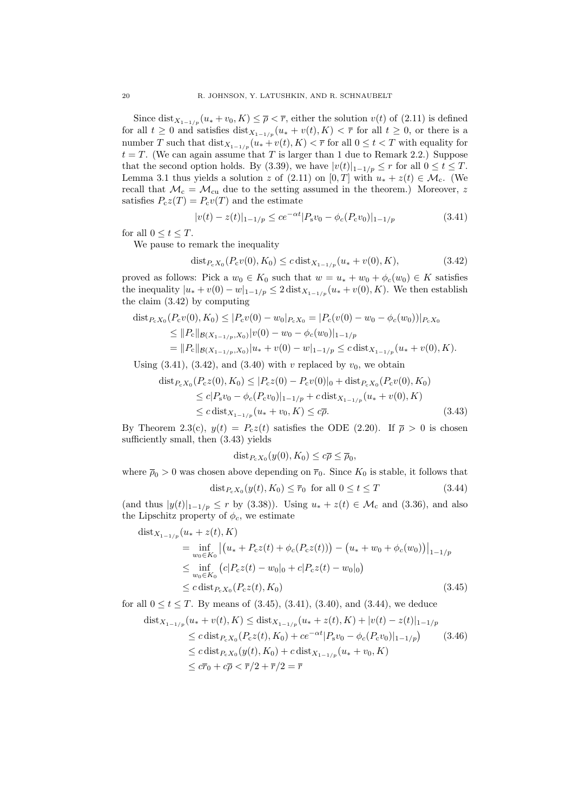Since dist<sub> $X_{1-1/p}$ </sub>  $(u_* + v_0, K) \leq \overline{\rho} < \overline{r}$ , either the solution  $v(t)$  of (2.11) is defined for all  $t \geq 0$  and satisfies  $\text{dist}_{X_{1-1/p}}(u_* + v(t), K) < \overline{r}$  for all  $t \geq 0$ , or there is a number T such that  $dist_{X_{1-1/p}}(u_* + v(t), K) < \overline{r}$  for all  $0 \le t < T$  with equality for  $t = T$ . (We can again assume that T is larger than 1 due to Remark 2.2.) Suppose that the second option holds. By (3.39), we have  $|v(t)|_{1-1/p} \leq r$  for all  $0 \leq t \leq T$ . Lemma 3.1 thus yields a solution z of (2.11) on [0, T] with  $u_* + z(t) \in \mathcal{M}_c$ . (We recall that  $\mathcal{M}_{c} = \mathcal{M}_{cu}$  due to the setting assumed in the theorem.) Moreover, z satisfies  $P_cz(T) = P_cv(T)$  and the estimate

$$
|v(t) - z(t)|_{1-1/p} \le ce^{-\alpha t} |P_s v_0 - \phi_c(P_c v_0)|_{1-1/p}
$$
\n(3.41)

for all  $0 \le t \le T$ .

We pause to remark the inequality

$$
dist_{P_cX_0}(P_c v(0), K_0) \le c \, dist_{X_{1-1/p}}(u_* + v(0), K), \tag{3.42}
$$

proved as follows: Pick a  $w_0 \in K_0$  such that  $w = u_* + w_0 + \phi_c(w_0) \in K$  satisfies the inequality  $|u_* + v(0) - w|_{1-1/p} \leq 2 \text{ dist}_{X_{1-1/p}}(u_* + v(0), K)$ . We then establish the claim (3.42) by computing

$$
\begin{aligned} \operatorname{dist}_{P_c X_0} (P_c v(0), K_0) &\leq |P_c v(0) - w_0|_{P_c X_0} = |P_c(v(0) - w_0 - \phi_c(w_0))|_{P_c X_0} \\ &\leq \|P_c\|_{\mathcal{B}(X_{1-1/p}, X_0)} |v(0) - w_0 - \phi_c(w_0)|_{1-1/p} \\ &= \|P_c\|_{\mathcal{B}(X_{1-1/p}, X_0)} |u_* + v(0) - w|_{1-1/p} \leq c \operatorname{dist}_{X_{1-1/p}} (u_* + v(0), K). \end{aligned}
$$

Using  $(3.41)$ ,  $(3.42)$ , and  $(3.40)$  with v replaced by  $v_0$ , we obtain

$$
\begin{aligned} \operatorname{dist}_{P_c X_0}(P_c z(0), K_0) &\leq |P_c z(0) - P_c v(0)|_0 + \operatorname{dist}_{P_c X_0}(P_c v(0), K_0) \\ &\leq c |P_s v_0 - \phi_c(P_c v_0)|_{1-1/p} + c \operatorname{dist}_{X_{1-1/p}}(u_* + v(0), K) \\ &\leq c \operatorname{dist}_{X_{1-1/p}}(u_* + v_0, K) \leq c\overline{\rho}. \end{aligned} \tag{3.43}
$$

By Theorem 2.3(c),  $y(t) = P_c z(t)$  satisfies the ODE (2.20). If  $\bar{\rho} > 0$  is chosen sufficiently small, then (3.43) yields

$$
dist_{P_{c}X_{0}}(y(0), K_{0}) \leq c\overline{\rho} \leq \overline{\rho}_{0},
$$

where  $\bar{p}_0 > 0$  was chosen above depending on  $\bar{r}_0$ . Since  $K_0$  is stable, it follows that  $dist_{P_cX_0}(y(t), K_0) \leq \bar{r}_0$  for all  $0 \leq t \leq T$  (3.44)

(and thus 
$$
|y(t)|_{1-1/p} \le r
$$
 by (3.38)). Using  $u_* + z(t) \in \mathcal{M}_c$  and (3.36), and also the Lipschitz property of  $\phi_c$ , we estimate

$$
dist_{X_{1-1/p}}(u_* + z(t), K)
$$
  
= 
$$
\inf_{w_0 \in K_0} |(u_* + P_c z(t) + \phi_c(P_c z(t))) - (u_* + w_0 + \phi_c(w_0))|_{1-1/p}
$$
  

$$
\leq \inf_{w_0 \in K_0} (c|P_c z(t) - w_0|_0 + c|P_c z(t) - w_0|_0)
$$
  

$$
\leq c \operatorname{dist}_{P_c X_0}(P_c z(t), K_0)
$$
 (3.45)

for all  $0 \le t \le T$ . By means of  $(3.45), (3.41), (3.40),$  and  $(3.44),$  we deduce

$$
\begin{aligned} \text{dist}_{X_{1-1/p}}(u_* + v(t), K) &\leq \text{dist}_{X_{1-1/p}}(u_* + z(t), K) + |v(t) - z(t)|_{1-1/p} \\ &\leq c \, \text{dist}_{P_cX_0}(P_c z(t), K_0) + c e^{-\alpha t} |P_s v_0 - \phi_c(P_c v_0)|_{1-1/p} \end{aligned} \tag{3.46}
$$
\n
$$
\leq c \, \text{dist}_{P_cX_0}(y(t), K_0) + c \, \text{dist}_{X_{1-1/p}}(u_* + v_0, K)
$$
\n
$$
\leq c \overline{r}_0 + c\overline{\rho} < \overline{r}/2 + \overline{r}/2 = \overline{r}
$$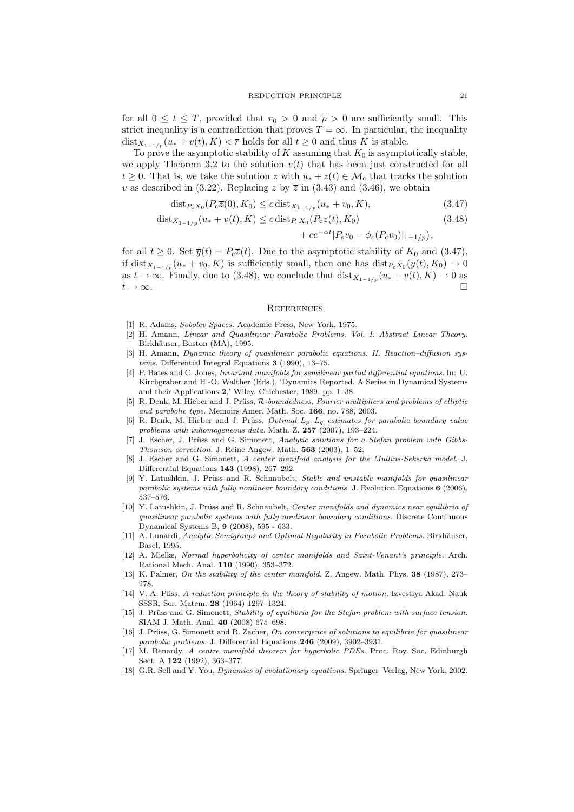for all  $0 \le t \le T$ , provided that  $\overline{r}_0 > 0$  and  $\overline{\rho} > 0$  are sufficiently small. This strict inequality is a contradiction that proves  $T = \infty$ . In particular, the inequality dist<sub> $X_{1-1/p}$ </sub>  $(u_* + v(t), K) < \overline{r}$  holds for all  $t \geq 0$  and thus K is stable.

To prove the asymptotic stability of K assuming that  $K_0$  is asymptotically stable, we apply Theorem 3.2 to the solution  $v(t)$  that has been just constructed for all  $t > 0$ . That is, we take the solution  $\overline{z}$  with  $u_* + \overline{z}(t) \in \mathcal{M}_c$  that tracks the solution v as described in (3.22). Replacing z by  $\overline{z}$  in (3.43) and (3.46), we obtain

$$
dist_{P_cX_0}(P_c\overline{z}(0), K_0) \le c \, dist_{X_{1-1/p}}(u_* + v_0, K),\tag{3.47}
$$

$$
dist_{X_{1-1/p}}(u_* + v(t), K) \le c \, dist_{P_cX_0}(P_c\overline{z}(t), K_0)
$$
\n(3.48)

$$
+ce^{-\alpha t}|P_s v_0 - \phi_c(P_c v_0)|_{1-1/p}
$$
,

for all  $t \geq 0$ . Set  $\overline{y}(t) = P_c \overline{z}(t)$ . Due to the asymptotic stability of  $K_0$  and  $(3.47)$ , if dist<sub> $X_{1-1/p}$ </sub>  $(u_* + v_0, K)$  is sufficiently small, then one has  $dist_{P_cX_0}(\overline{y}(t), K_0) \to 0$ as  $t \to \infty$ . Finally, due to (3.48), we conclude that  $dist_{X_{1-1/n}}(u_* + v(t), K) \to 0$  as  $t \to \infty$ .

#### **REFERENCES**

- [1] R. Adams, Sobolev Spaces. Academic Press, New York, 1975.
- [2] H. Amann, Linear and Quasilinear Parabolic Problems, Vol. I. Abstract Linear Theory. Birkhäuser, Boston (MA), 1995.
- [3] H. Amann, *Dynamic theory of quasilinear parabolic equations. II. Reaction-diffusion sys*tems. Differential Integral Equations 3 (1990), 13–75.
- [4] P. Bates and C. Jones, Invariant manifolds for semilinear partial differential equations. In: U. Kirchgraber and H.-O. Walther (Eds.), 'Dynamics Reported. A Series in Dynamical Systems and their Applications 2,' Wiley, Chichester, 1989, pp. 1–38.
- [5] R. Denk, M. Hieber and J. Prüss, R-boundedness, Fourier multipliers and problems of elliptic and parabolic type. Memoirs Amer. Math. Soc. 166, no. 788, 2003.
- [6] R. Denk, M. Hieber and J. Prüss, *Optimal*  $L_p-L_q$  *estimates for parabolic boundary value* problems with inhomogeneous data. Math. Z. 257 (2007), 193–224.
- [7] J. Escher, J. Prüss and G. Simonett, Analytic solutions for a Stefan problem with Gibbs-Thomson correction. J. Reine Angew. Math. 563 (2003), 1–52.
- [8] J. Escher and G. Simonett, A center manifold analysis for the Mullins-Sekerka model. J. Differential Equations 143 (1998), 267–292.
- [9] Y. Latushkin, J. Prüss and R. Schnaubelt, Stable and unstable manifolds for quasilinear parabolic systems with fully nonlinear boundary conditions. J. Evolution Equations  $6$  (2006), 537–576.
- [10] Y. Latushkin, J. Prüss and R. Schnaubelt, Center manifolds and dynamics near equilibria of quasilinear parabolic systems with fully nonlinear boundary conditions. Discrete Continuous Dynamical Systems B, 9 (2008), 595 - 633.
- [11] A. Lunardi, Analytic Semigroups and Optimal Regularity in Parabolic Problems. Birkhäuser, Basel, 1995.
- [12] A. Mielke, Normal hyperbolicity of center manifolds and Saint-Venant's principle. Arch. Rational Mech. Anal. 110 (1990), 353–372.
- [13] K. Palmer, On the stability of the center manifold. Z. Angew. Math. Phys. 38 (1987), 273– 278.
- [14] V. A. Pliss, A reduction principle in the theory of stability of motion. Izvestiya Akad. Nauk SSSR, Ser. Matem. 28 (1964) 1297–1324.
- [15] J. Prüss and G. Simonett, Stability of equilibria for the Stefan problem with surface tension. SIAM J. Math. Anal. 40 (2008) 675–698.
- [16] J. Prüss, G. Simonett and R. Zacher, On convergence of solutions to equilibria for quasilinear parabolic problems. J. Differential Equations 246 (2009), 3902–3931.
- [17] M. Renardy, A centre manifold theorem for hyperbolic PDEs. Proc. Roy. Soc. Edinburgh Sect. A 122 (1992), 363–377.
- [18] G.R. Sell and Y. You, Dynamics of evolutionary equations. Springer–Verlag, New York, 2002.